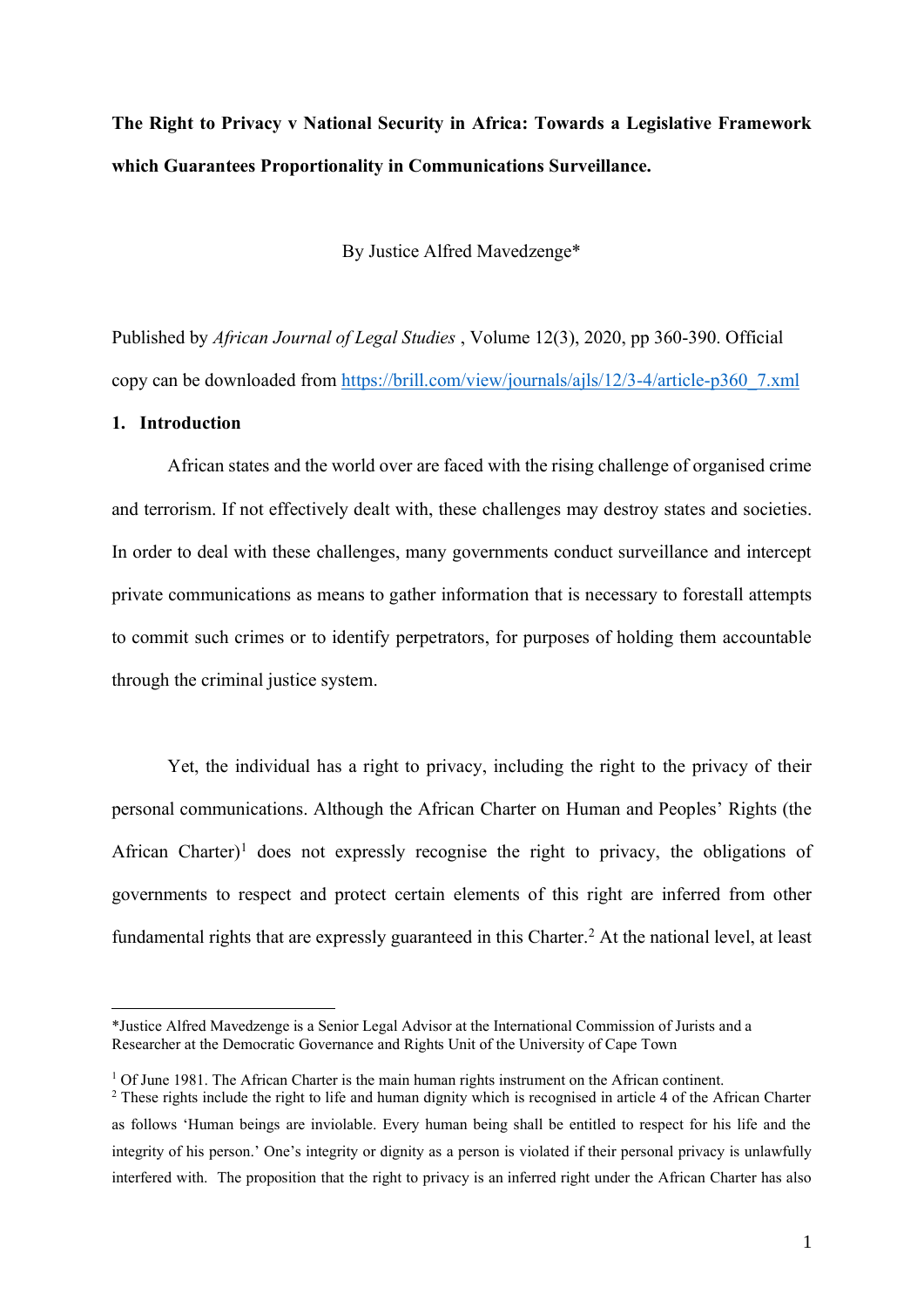**The Right to Privacy v National Security in Africa: Towards a Legislative Framework which Guarantees Proportionality in Communications Surveillance.**

By Justice Alfred Mavedzenge\*

Published by *African Journal of Legal Studies* , Volume 12(3), 2020, pp 360-390. Official copy can be downloaded from [https://brill.com/view/journals/ajls/12/3-4/article-p360\\_7.xml](https://brill.com/view/journals/ajls/12/3-4/article-p360_7.xml)

### **1. Introduction**

African states and the world over are faced with the rising challenge of organised crime and terrorism. If not effectively dealt with, these challenges may destroy states and societies. In order to deal with these challenges, many governments conduct surveillance and intercept private communications as means to gather information that is necessary to forestall attempts to commit such crimes or to identify perpetrators, for purposes of holding them accountable through the criminal justice system.

Yet, the individual has a right to privacy, including the right to the privacy of their personal communications. Although the African Charter on Human and Peoples' Rights (the African Charter)<sup>1</sup> does not expressly recognise the right to privacy, the obligations of governments to respect and protect certain elements of this right are inferred from other fundamental rights that are expressly guaranteed in this Charter.<sup>2</sup> At the national level, at least

<sup>\*</sup>Justice Alfred Mavedzenge is a Senior Legal Advisor at the International Commission of Jurists and a Researcher at the Democratic Governance and Rights Unit of the University of Cape Town

 $1$  Of June 1981. The African Charter is the main human rights instrument on the African continent.

<sup>&</sup>lt;sup>2</sup> These rights include the right to life and human dignity which is recognised in article 4 of the African Charter as follows 'Human beings are inviolable. Every human being shall be entitled to respect for his life and the integrity of his person.' One's integrity or dignity as a person is violated if their personal privacy is unlawfully interfered with. The proposition that the right to privacy is an inferred right under the African Charter has also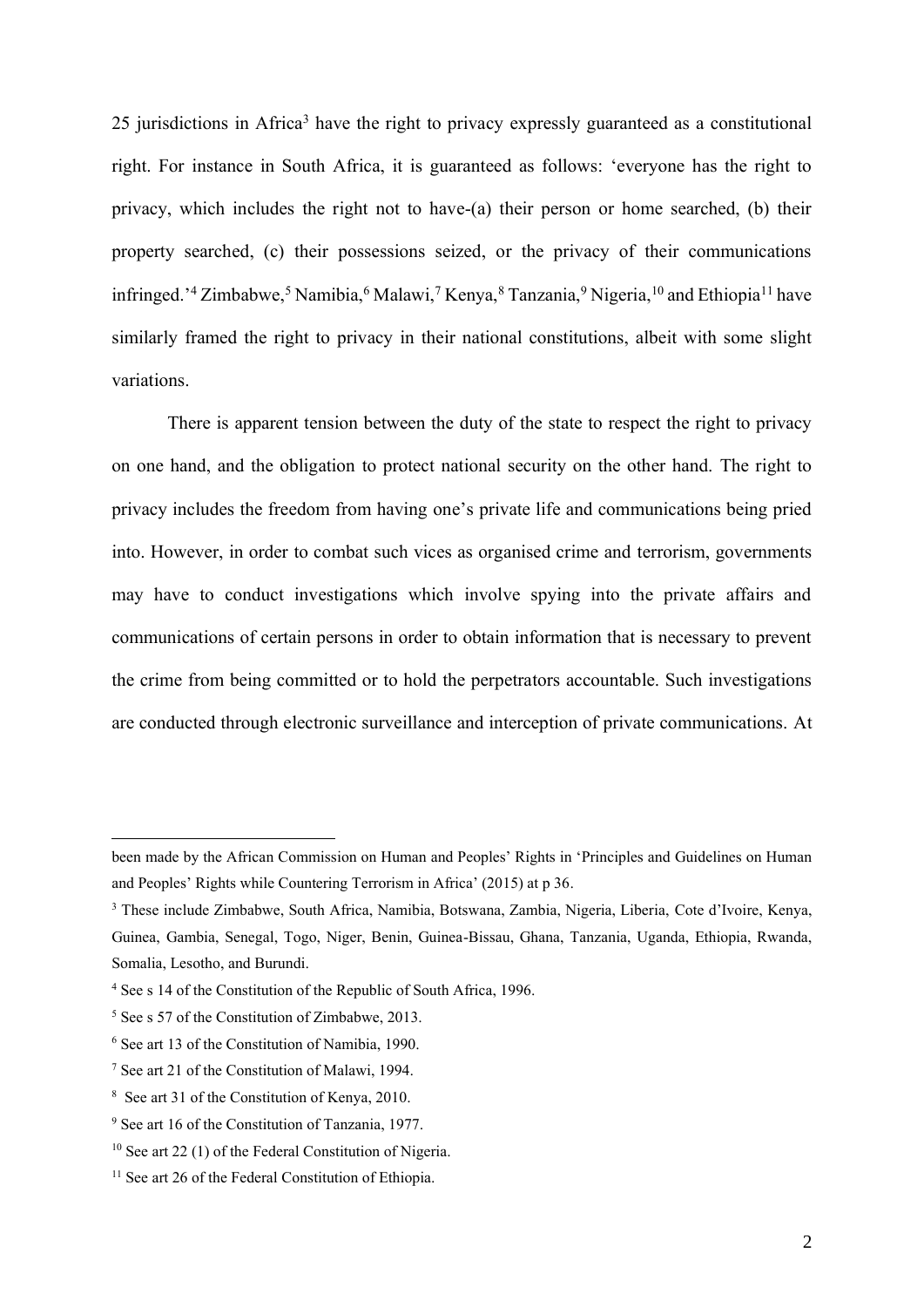25 jurisdictions in Africa<sup>3</sup> have the right to privacy expressly guaranteed as a constitutional right. For instance in South Africa, it is guaranteed as follows: 'everyone has the right to privacy, which includes the right not to have-(a) their person or home searched, (b) their property searched, (c) their possessions seized, or the privacy of their communications infringed.<sup>4</sup> Zimbabwe,<sup>5</sup> Namibia,<sup>6</sup> Malawi,<sup>7</sup> Kenya,<sup>8</sup> Tanzania,<sup>9</sup> Nigeria,<sup>10</sup> and Ethiopia<sup>11</sup> have similarly framed the right to privacy in their national constitutions, albeit with some slight variations.

There is apparent tension between the duty of the state to respect the right to privacy on one hand, and the obligation to protect national security on the other hand. The right to privacy includes the freedom from having one's private life and communications being pried into. However, in order to combat such vices as organised crime and terrorism, governments may have to conduct investigations which involve spying into the private affairs and communications of certain persons in order to obtain information that is necessary to prevent the crime from being committed or to hold the perpetrators accountable. Such investigations are conducted through electronic surveillance and interception of private communications. At

been made by the African Commission on Human and Peoples' Rights in 'Principles and Guidelines on Human and Peoples' Rights while Countering Terrorism in Africa' (2015) at p 36.

<sup>3</sup> These include Zimbabwe, South Africa, Namibia, Botswana, Zambia, Nigeria, Liberia, Cote d'Ivoire, Kenya, Guinea, Gambia, Senegal, Togo, Niger, Benin, Guinea-Bissau, Ghana, Tanzania, Uganda, Ethiopia, Rwanda, Somalia, Lesotho, and Burundi.

<sup>4</sup> See s 14 of the Constitution of the Republic of South Africa, 1996.

<sup>5</sup> See s 57 of the Constitution of Zimbabwe, 2013.

<sup>6</sup> See art 13 of the Constitution of Namibia, 1990.

<sup>7</sup> See art 21 of the Constitution of Malawi, 1994.

<sup>8</sup> See art 31 of the Constitution of Kenya, 2010.

<sup>9</sup> See art 16 of the Constitution of Tanzania, 1977.

<sup>10</sup> See art 22 (1) of the Federal Constitution of Nigeria.

<sup>&</sup>lt;sup>11</sup> See art 26 of the Federal Constitution of Ethiopia.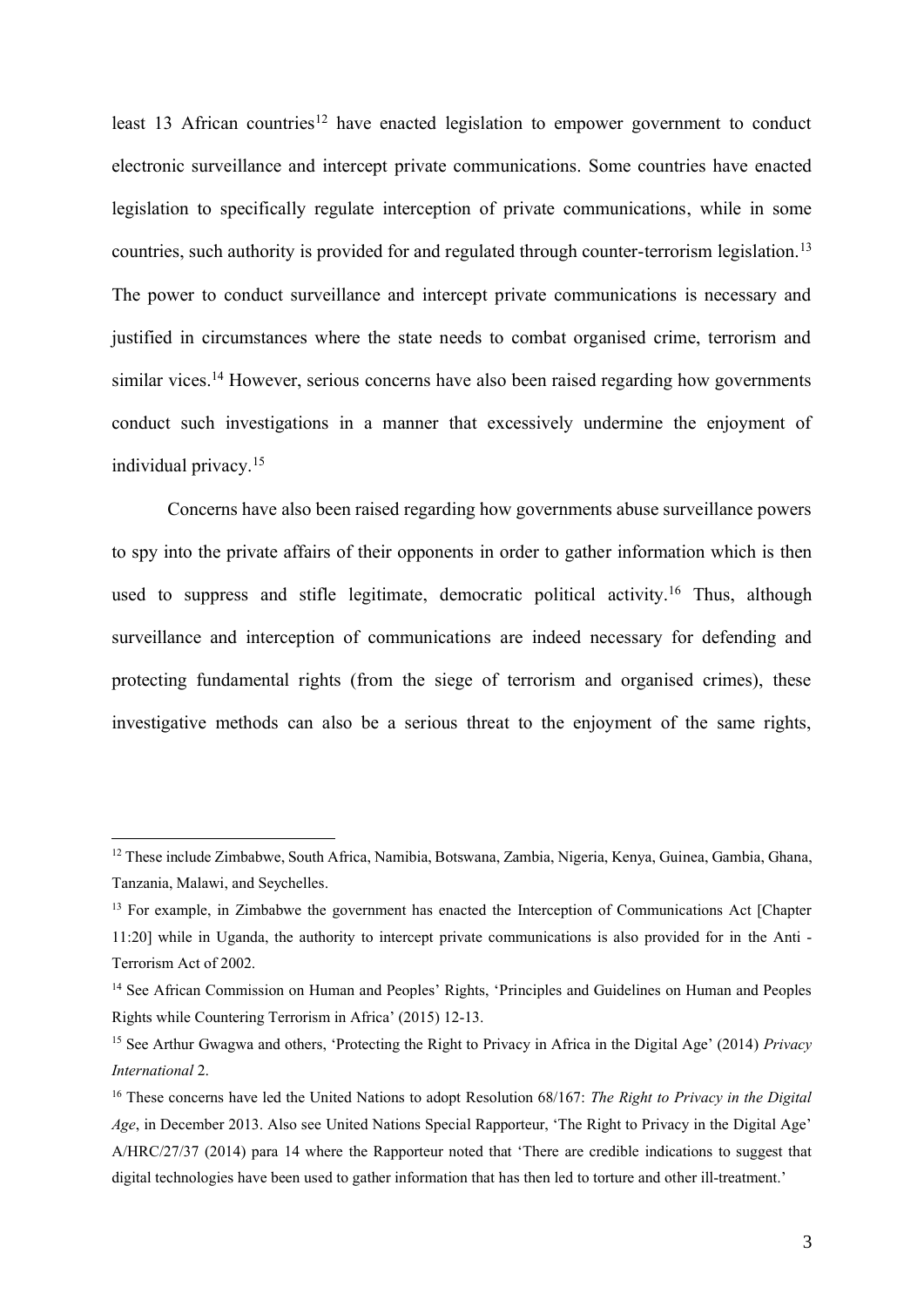least 13 African countries<sup>12</sup> have enacted legislation to empower government to conduct electronic surveillance and intercept private communications. Some countries have enacted legislation to specifically regulate interception of private communications, while in some countries, such authority is provided for and regulated through counter-terrorism legislation.<sup>13</sup> The power to conduct surveillance and intercept private communications is necessary and justified in circumstances where the state needs to combat organised crime, terrorism and similar vices.<sup>14</sup> However, serious concerns have also been raised regarding how governments conduct such investigations in a manner that excessively undermine the enjoyment of individual privacy.<sup>15</sup>

Concerns have also been raised regarding how governments abuse surveillance powers to spy into the private affairs of their opponents in order to gather information which is then used to suppress and stifle legitimate, democratic political activity.<sup>16</sup> Thus, although surveillance and interception of communications are indeed necessary for defending and protecting fundamental rights (from the siege of terrorism and organised crimes), these investigative methods can also be a serious threat to the enjoyment of the same rights,

<sup>12</sup> These include Zimbabwe, South Africa, Namibia, Botswana, Zambia, Nigeria, Kenya, Guinea, Gambia, Ghana, Tanzania, Malawi, and Seychelles.

<sup>&</sup>lt;sup>13</sup> For example, in Zimbabwe the government has enacted the Interception of Communications Act [Chapter] 11:20] while in Uganda, the authority to intercept private communications is also provided for in the Anti - Terrorism Act of 2002.

<sup>14</sup> See African Commission on Human and Peoples' Rights, 'Principles and Guidelines on Human and Peoples Rights while Countering Terrorism in Africa' (2015) 12-13.

<sup>15</sup> See Arthur Gwagwa and others, 'Protecting the Right to Privacy in Africa in the Digital Age' (2014) *Privacy International* 2.

<sup>16</sup> These concerns have led the United Nations to adopt Resolution 68/167: *The Right to Privacy in the Digital Age*, in December 2013. Also see United Nations Special Rapporteur, 'The Right to Privacy in the Digital Age' A/HRC/27/37 (2014) para 14 where the Rapporteur noted that 'There are credible indications to suggest that digital technologies have been used to gather information that has then led to torture and other ill-treatment.'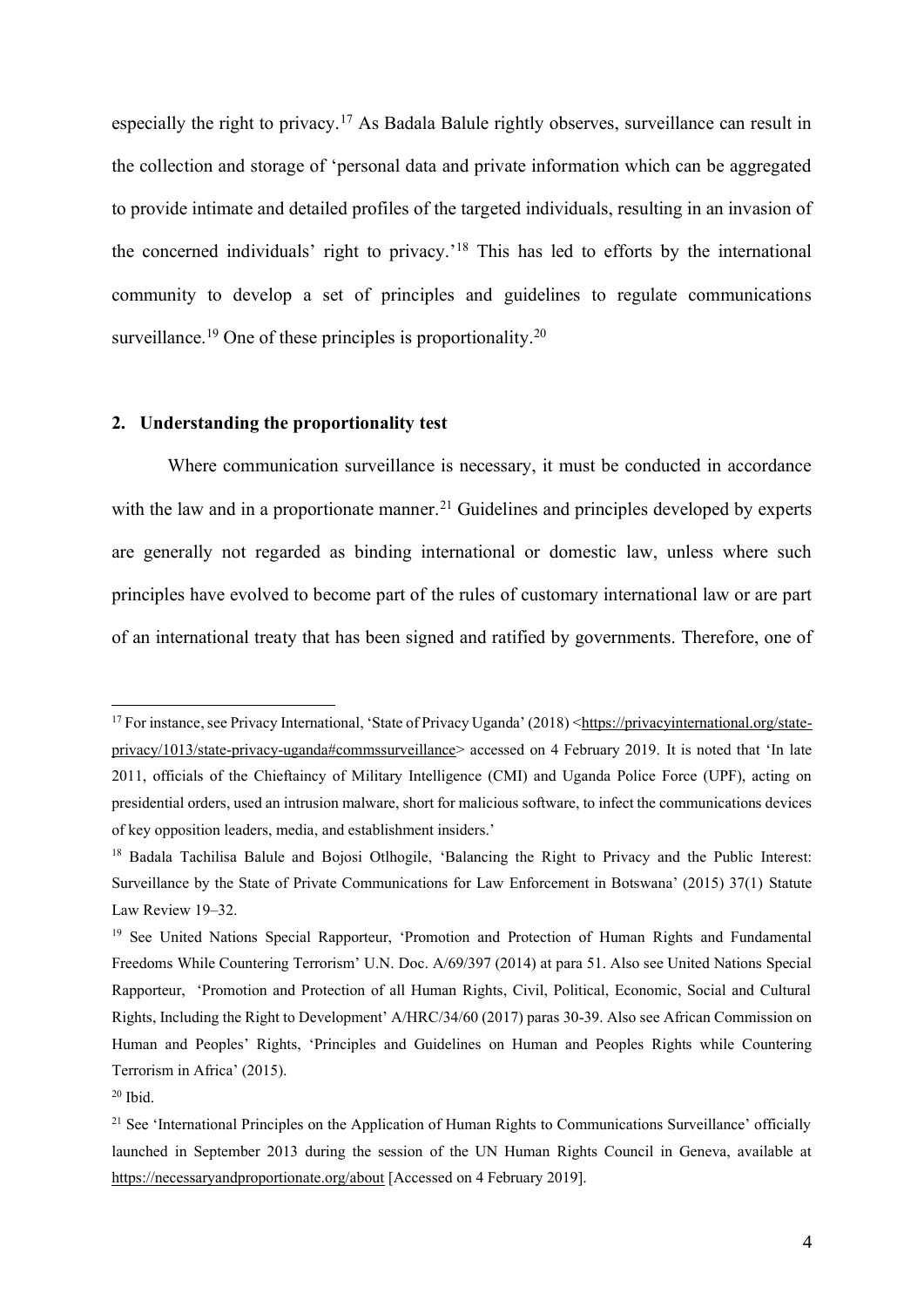especially the right to privacy.<sup>17</sup> As Badala Balule rightly observes, surveillance can result in the collection and storage of 'personal data and private information which can be aggregated to provide intimate and detailed profiles of the targeted individuals, resulting in an invasion of the concerned individuals' right to privacy.<sup>18</sup> This has led to efforts by the international community to develop a set of principles and guidelines to regulate communications surveillance.<sup>19</sup> One of these principles is proportionality.<sup>20</sup>

#### **2. Understanding the proportionality test**

Where communication surveillance is necessary, it must be conducted in accordance with the law and in a proportionate manner.<sup>21</sup> Guidelines and principles developed by experts are generally not regarded as binding international or domestic law, unless where such principles have evolved to become part of the rules of customary international law or are part of an international treaty that has been signed and ratified by governments. Therefore, one of

<sup>&</sup>lt;sup>17</sup> For instance, see Privacy International, 'State of Privacy Uganda' (2018) [<https://privacyinternational.org/state](https://privacyinternational.org/state-privacy/1013/state-privacy-uganda#commssurveillance)[privacy/1013/state-privacy-uganda#commssurveillance>](https://privacyinternational.org/state-privacy/1013/state-privacy-uganda#commssurveillance) accessed on 4 February 2019. It is noted that 'In late 2011, officials of the Chieftaincy of Military Intelligence (CMI) and Uganda Police Force (UPF), acting on presidential orders, used an intrusion malware, short for malicious software, to infect the communications devices of key opposition leaders, media, and establishment insiders.'

<sup>&</sup>lt;sup>18</sup> Badala Tachilisa Balule and Bojosi Otlhogile, 'Balancing the Right to Privacy and the Public Interest: Surveillance by the State of Private Communications for Law Enforcement in Botswana' (2015) 37(1) Statute Law Review 19–32.

<sup>19</sup> See United Nations Special Rapporteur, 'Promotion and Protection of Human Rights and Fundamental Freedoms While Countering Terrorism' U.N. Doc. A/69/397 (2014) at para 51. Also see United Nations Special Rapporteur, 'Promotion and Protection of all Human Rights, Civil, Political, Economic, Social and Cultural Rights, Including the Right to Development' A/HRC/34/60 (2017) paras 30-39. Also see African Commission on Human and Peoples' Rights, 'Principles and Guidelines on Human and Peoples Rights while Countering Terrorism in Africa' (2015).

 $20$  Ibid.

<sup>&</sup>lt;sup>21</sup> See 'International Principles on the Application of Human Rights to Communications Surveillance' officially launched in September 2013 during the session of the UN Human Rights Council in Geneva, available at <https://necessaryandproportionate.org/about> [Accessed on 4 February 2019].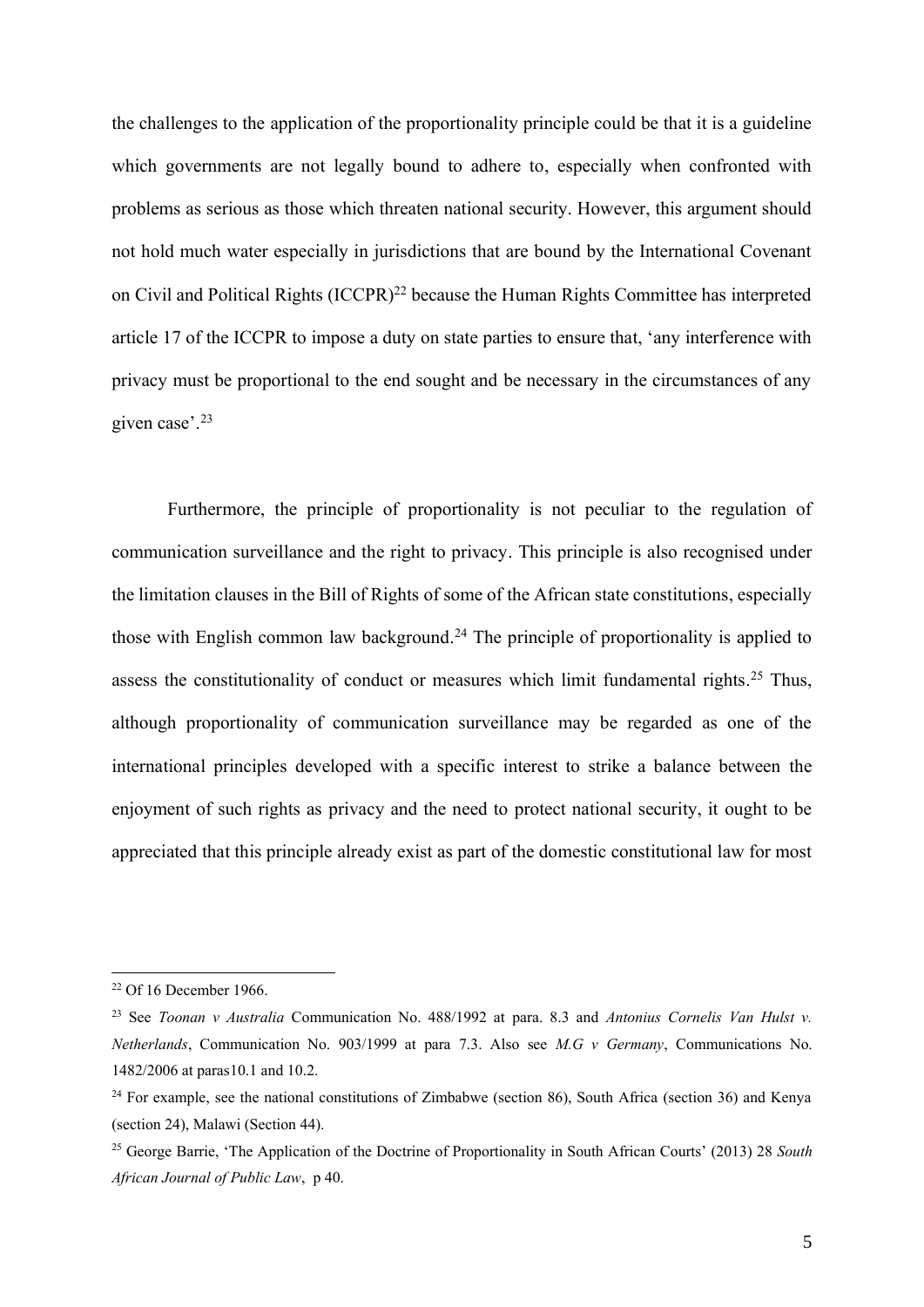the challenges to the application of the proportionality principle could be that it is a guideline which governments are not legally bound to adhere to, especially when confronted with problems as serious as those which threaten national security. However, this argument should not hold much water especially in jurisdictions that are bound by the International Covenant on Civil and Political Rights (ICCPR)<sup>22</sup> because the Human Rights Committee has interpreted article 17 of the ICCPR to impose a duty on state parties to ensure that, 'any interference with privacy must be proportional to the end sought and be necessary in the circumstances of any given case'. 23

Furthermore, the principle of proportionality is not peculiar to the regulation of communication surveillance and the right to privacy. This principle is also recognised under the limitation clauses in the Bill of Rights of some of the African state constitutions, especially those with English common law background.<sup>24</sup> The principle of proportionality is applied to assess the constitutionality of conduct or measures which limit fundamental rights. <sup>25</sup> Thus, although proportionality of communication surveillance may be regarded as one of the international principles developed with a specific interest to strike a balance between the enjoyment of such rights as privacy and the need to protect national security, it ought to be appreciated that this principle already exist as part of the domestic constitutional law for most

<sup>22</sup> Of 16 December 1966.

<sup>23</sup> See *Toonan v Australia* Communication No. 488/1992 at para. 8.3 and *Antonius Cornelis Van Hulst v. Netherlands*, Communication No. 903/1999 at para 7.3. Also see *M.G v Germany*, Communications No. 1482/2006 at paras10.1 and 10.2.

<sup>&</sup>lt;sup>24</sup> For example, see the national constitutions of Zimbabwe (section 86), South Africa (section 36) and Kenya (section 24), Malawi (Section 44).

<sup>25</sup> George Barrie, 'The Application of the Doctrine of Proportionality in South African Courts' (2013) 28 *South African Journal of Public Law*, p 40.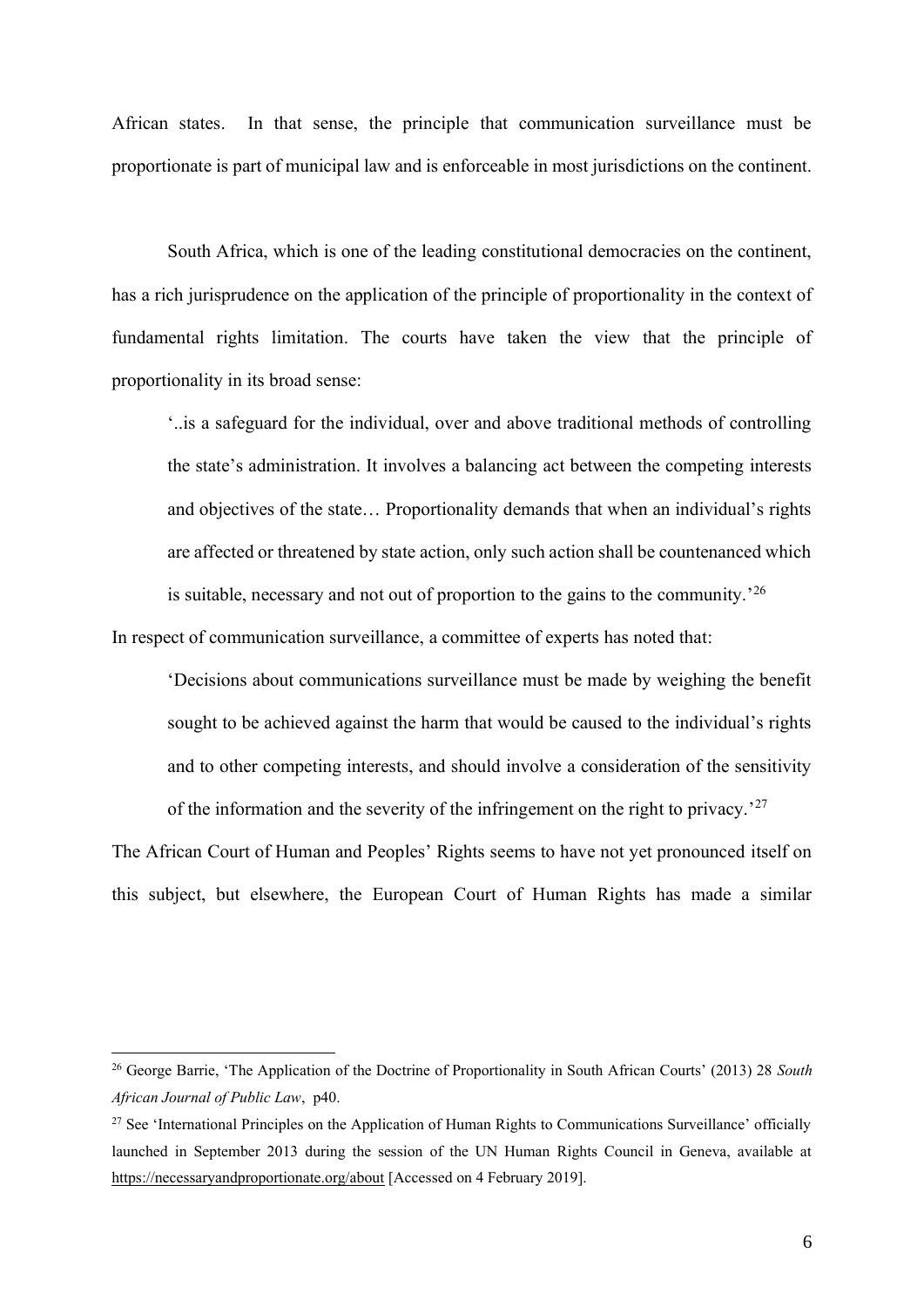African states. In that sense, the principle that communication surveillance must be proportionate is part of municipal law and is enforceable in most jurisdictions on the continent.

South Africa, which is one of the leading constitutional democracies on the continent, has a rich jurisprudence on the application of the principle of proportionality in the context of fundamental rights limitation. The courts have taken the view that the principle of proportionality in its broad sense:

'..is a safeguard for the individual, over and above traditional methods of controlling the state's administration. It involves a balancing act between the competing interests and objectives of the state… Proportionality demands that when an individual's rights are affected or threatened by state action, only such action shall be countenanced which is suitable, necessary and not out of proportion to the gains to the community.<sup>26</sup>

In respect of communication surveillance, a committee of experts has noted that:

'Decisions about communications surveillance must be made by weighing the benefit sought to be achieved against the harm that would be caused to the individual's rights and to other competing interests, and should involve a consideration of the sensitivity of the information and the severity of the infringement on the right to privacy.<sup>27</sup>

The African Court of Human and Peoples' Rights seems to have not yet pronounced itself on this subject, but elsewhere, the European Court of Human Rights has made a similar

<sup>26</sup> George Barrie, 'The Application of the Doctrine of Proportionality in South African Courts' (2013) 28 *South African Journal of Public Law*, p40.

<sup>&</sup>lt;sup>27</sup> See 'International Principles on the Application of Human Rights to Communications Surveillance' officially launched in September 2013 during the session of the UN Human Rights Council in Geneva, available at <https://necessaryandproportionate.org/about> [Accessed on 4 February 2019].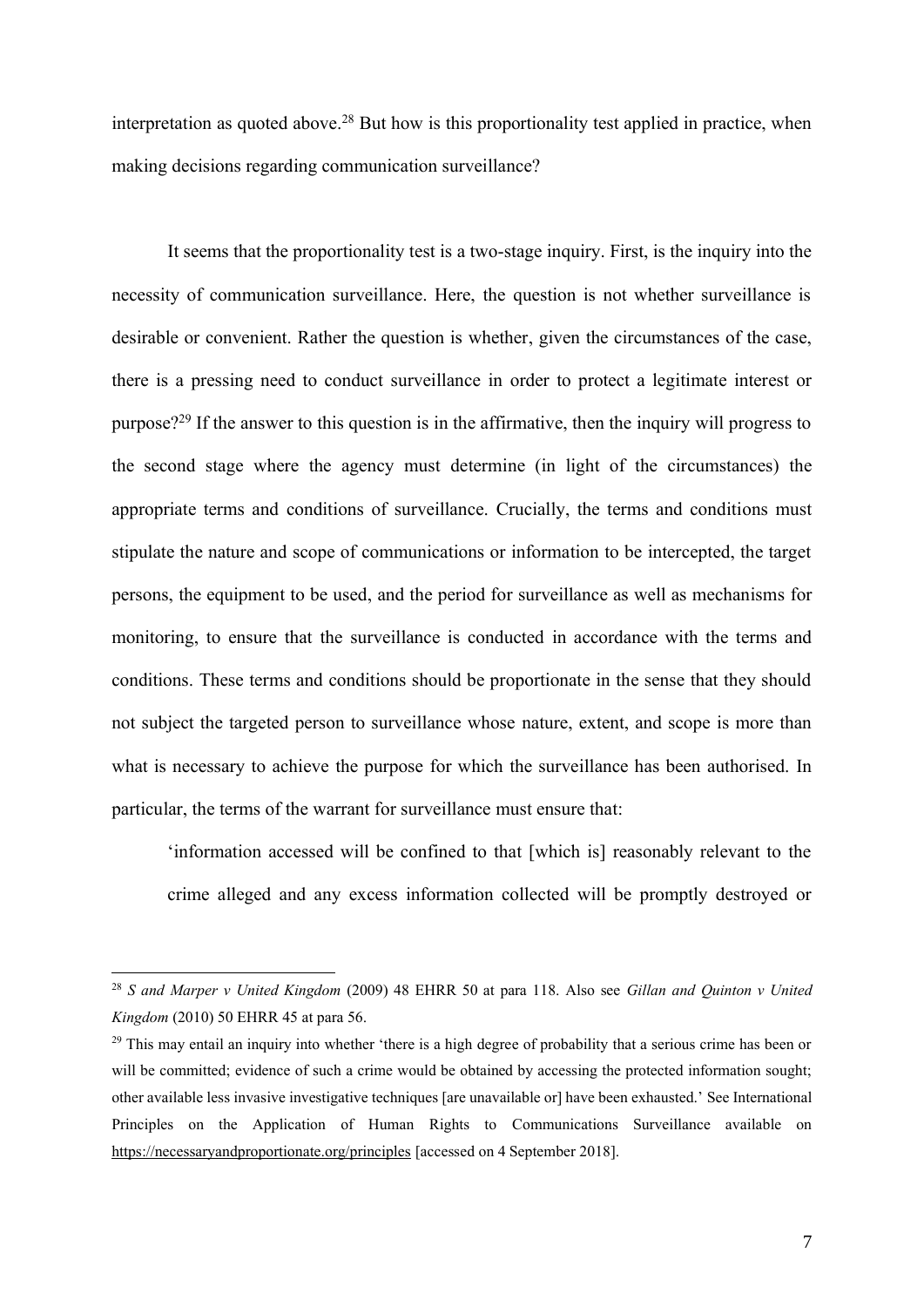interpretation as quoted above.<sup>28</sup> But how is this proportionality test applied in practice, when making decisions regarding communication surveillance?

It seems that the proportionality test is a two-stage inquiry. First, is the inquiry into the necessity of communication surveillance. Here, the question is not whether surveillance is desirable or convenient. Rather the question is whether, given the circumstances of the case, there is a pressing need to conduct surveillance in order to protect a legitimate interest or purpose?<sup>29</sup> If the answer to this question is in the affirmative, then the inquiry will progress to the second stage where the agency must determine (in light of the circumstances) the appropriate terms and conditions of surveillance. Crucially, the terms and conditions must stipulate the nature and scope of communications or information to be intercepted, the target persons, the equipment to be used, and the period for surveillance as well as mechanisms for monitoring, to ensure that the surveillance is conducted in accordance with the terms and conditions. These terms and conditions should be proportionate in the sense that they should not subject the targeted person to surveillance whose nature, extent, and scope is more than what is necessary to achieve the purpose for which the surveillance has been authorised. In particular, the terms of the warrant for surveillance must ensure that:

'information accessed will be confined to that [which is] reasonably relevant to the crime alleged and any excess information collected will be promptly destroyed or

<sup>28</sup> *S and Marper v United Kingdom* (2009) 48 EHRR 50 at para 118. Also see *Gillan and Quinton v United Kingdom* (2010) 50 EHRR 45 at para 56.

<sup>&</sup>lt;sup>29</sup> This may entail an inquiry into whether 'there is a high degree of probability that a serious crime has been or will be committed; evidence of such a crime would be obtained by accessing the protected information sought; other available less invasive investigative techniques [are unavailable or] have been exhausted.' See International Principles on the Application of Human Rights to Communications Surveillance available on <https://necessaryandproportionate.org/principles> [accessed on 4 September 2018].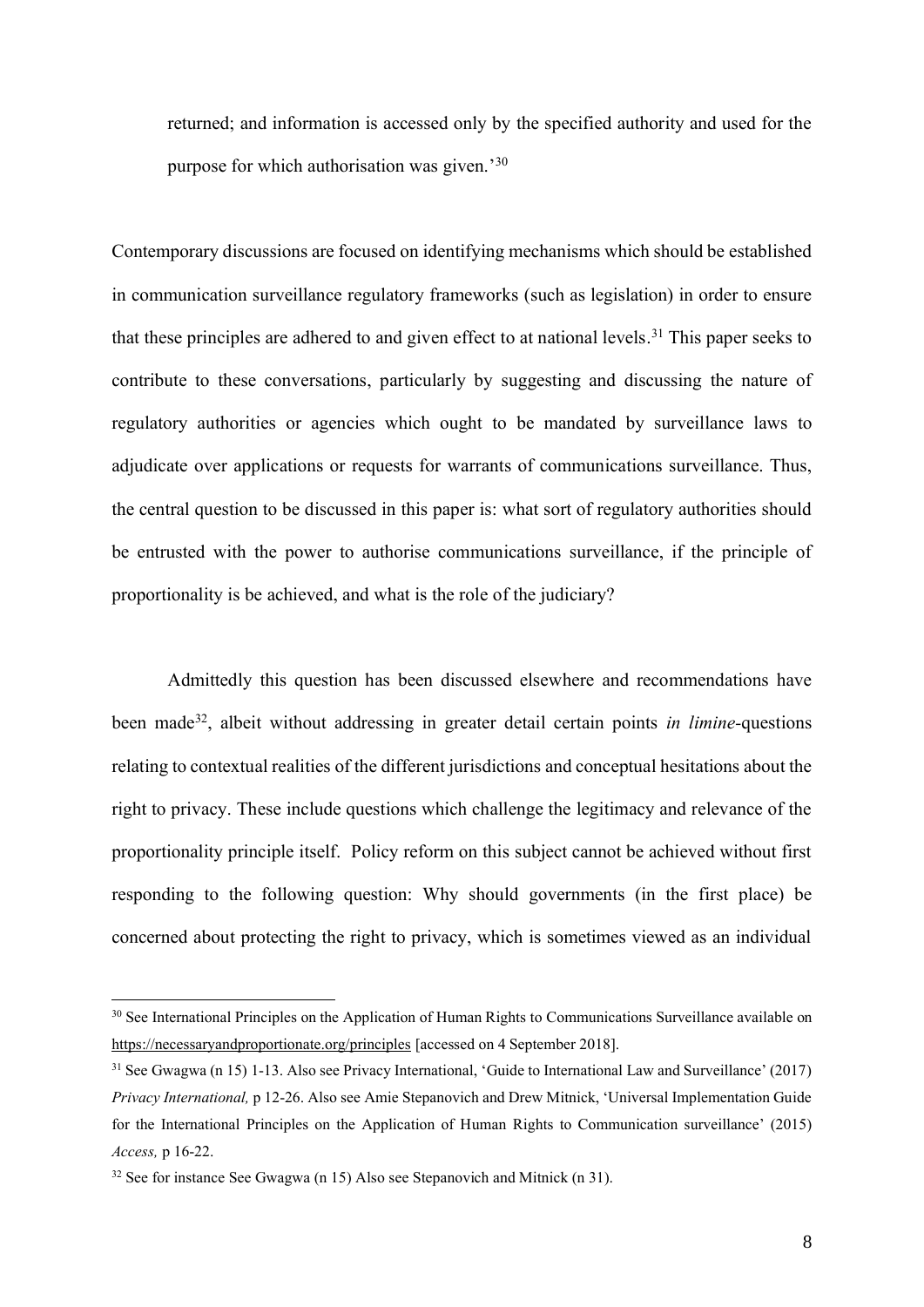returned; and information is accessed only by the specified authority and used for the purpose for which authorisation was given.<sup>30</sup>

Contemporary discussions are focused on identifying mechanisms which should be established in communication surveillance regulatory frameworks (such as legislation) in order to ensure that these principles are adhered to and given effect to at national levels. <sup>31</sup> This paper seeks to contribute to these conversations, particularly by suggesting and discussing the nature of regulatory authorities or agencies which ought to be mandated by surveillance laws to adjudicate over applications or requests for warrants of communications surveillance. Thus, the central question to be discussed in this paper is: what sort of regulatory authorities should be entrusted with the power to authorise communications surveillance, if the principle of proportionality is be achieved, and what is the role of the judiciary?

Admittedly this question has been discussed elsewhere and recommendations have been made<sup>32</sup>, albeit without addressing in greater detail certain points *in limine*-questions relating to contextual realities of the different jurisdictions and conceptual hesitations about the right to privacy. These include questions which challenge the legitimacy and relevance of the proportionality principle itself. Policy reform on this subject cannot be achieved without first responding to the following question: Why should governments (in the first place) be concerned about protecting the right to privacy, which is sometimes viewed as an individual

<sup>&</sup>lt;sup>30</sup> See International Principles on the Application of Human Rights to Communications Surveillance available on <https://necessaryandproportionate.org/principles> [accessed on 4 September 2018].

<sup>31</sup> See Gwagwa (n 15) 1-13. Also see Privacy International, 'Guide to International Law and Surveillance' (2017) *Privacy International,* p 12-26. Also see Amie Stepanovich and Drew Mitnick, 'Universal Implementation Guide for the International Principles on the Application of Human Rights to Communication surveillance' (2015) *Access,* p 16-22.

<sup>&</sup>lt;sup>32</sup> See for instance See Gwagwa (n 15) Also see Stepanovich and Mitnick (n 31).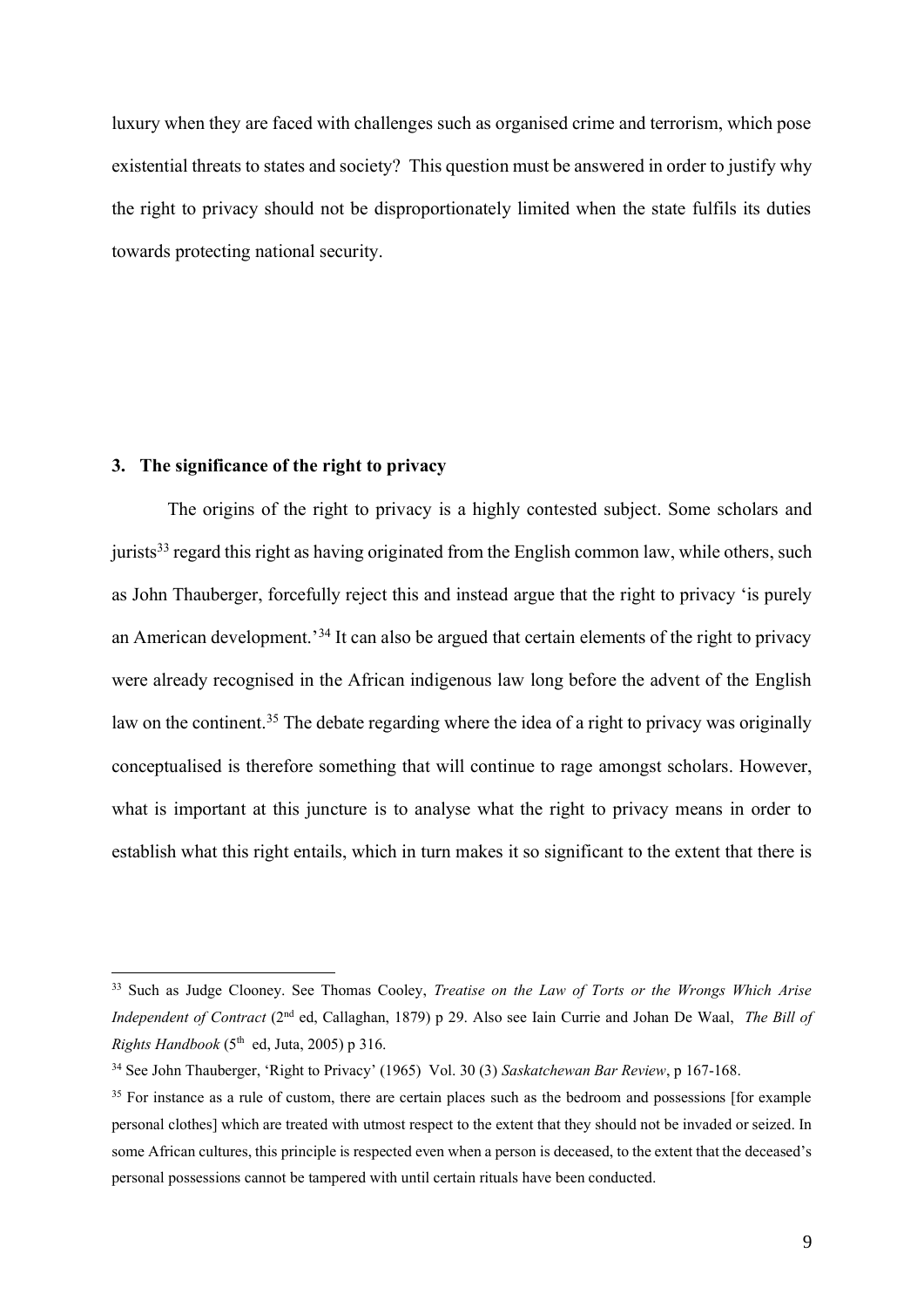luxury when they are faced with challenges such as organised crime and terrorism, which pose existential threats to states and society? This question must be answered in order to justify why the right to privacy should not be disproportionately limited when the state fulfils its duties towards protecting national security.

# **3. The significance of the right to privacy**

The origins of the right to privacy is a highly contested subject. Some scholars and jurists<sup>33</sup> regard this right as having originated from the English common law, while others, such as John Thauberger, forcefully reject this and instead argue that the right to privacy 'is purely an American development.<sup>34</sup> It can also be argued that certain elements of the right to privacy were already recognised in the African indigenous law long before the advent of the English law on the continent.<sup>35</sup> The debate regarding where the idea of a right to privacy was originally conceptualised is therefore something that will continue to rage amongst scholars. However, what is important at this juncture is to analyse what the right to privacy means in order to establish what this right entails, which in turn makes it so significant to the extent that there is

<sup>33</sup> Such as Judge Clooney. See Thomas Cooley, *Treatise on the Law of Torts or the Wrongs Which Arise Independent of Contract* (2nd ed, Callaghan, 1879) p 29. Also see Iain Currie and Johan De Waal, *The Bill of*   $Rights$  *Handbook* ( $5<sup>th</sup>$  ed, Juta, 2005) p 316.

<sup>34</sup> See John Thauberger, 'Right to Privacy' (1965) Vol. 30 (3) *Saskatchewan Bar Review*, p 167-168.

<sup>&</sup>lt;sup>35</sup> For instance as a rule of custom, there are certain places such as the bedroom and possessions [for example personal clothes] which are treated with utmost respect to the extent that they should not be invaded or seized. In some African cultures, this principle is respected even when a person is deceased, to the extent that the deceased's personal possessions cannot be tampered with until certain rituals have been conducted.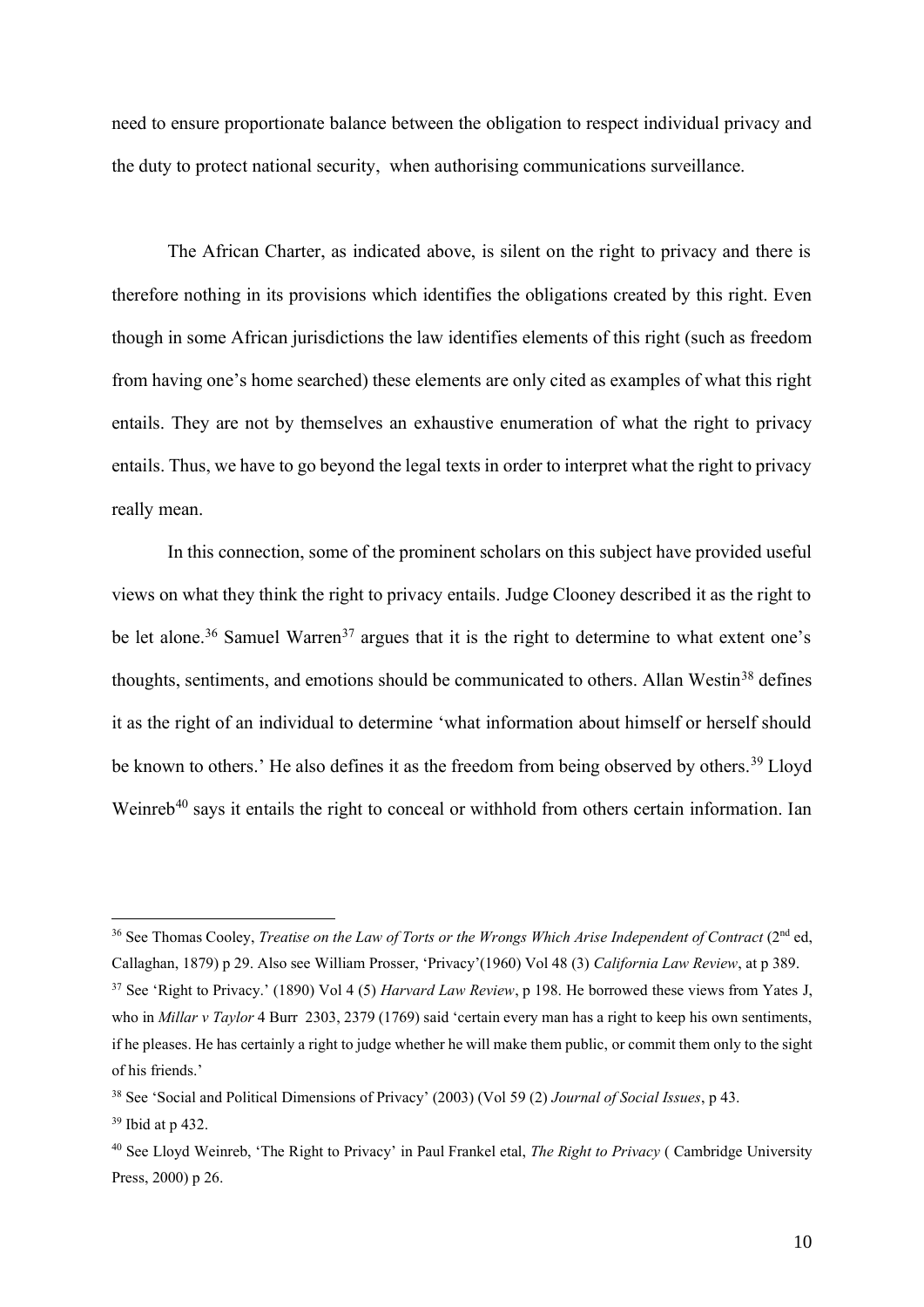need to ensure proportionate balance between the obligation to respect individual privacy and the duty to protect national security, when authorising communications surveillance.

The African Charter, as indicated above, is silent on the right to privacy and there is therefore nothing in its provisions which identifies the obligations created by this right. Even though in some African jurisdictions the law identifies elements of this right (such as freedom from having one's home searched) these elements are only cited as examples of what this right entails. They are not by themselves an exhaustive enumeration of what the right to privacy entails. Thus, we have to go beyond the legal texts in order to interpret what the right to privacy really mean.

In this connection, some of the prominent scholars on this subject have provided useful views on what they think the right to privacy entails. Judge Clooney described it as the right to be let alone.<sup>36</sup> Samuel Warren<sup>37</sup> argues that it is the right to determine to what extent one's thoughts, sentiments, and emotions should be communicated to others. Allan Westin<sup>38</sup> defines it as the right of an individual to determine 'what information about himself or herself should be known to others.' He also defines it as the freedom from being observed by others.<sup>39</sup> Lloyd Weinreb<sup>40</sup> says it entails the right to conceal or withhold from others certain information. Ian

<sup>&</sup>lt;sup>36</sup> See Thomas Cooley, *Treatise on the Law of Torts or the Wrongs Which Arise Independent of Contract* (2<sup>nd</sup> ed, Callaghan, 1879) p 29. Also see William Prosser, 'Privacy'(1960) Vol 48 (3) *California Law Review*, at p 389.

<sup>37</sup> See 'Right to Privacy.' (1890) Vol 4 (5) *Harvard Law Review*, p 198. He borrowed these views from Yates J, who in *Millar v Taylor* 4 Burr 2303, 2379 (1769) said 'certain every man has a right to keep his own sentiments, if he pleases. He has certainly a right to judge whether he will make them public, or commit them only to the sight of his friends.'

<sup>38</sup> See 'Social and Political Dimensions of Privacy' (2003) (Vol 59 (2) *Journal of Social Issues*, p 43.

<sup>39</sup> Ibid at p 432.

<sup>40</sup> See Lloyd Weinreb, 'The Right to Privacy' in Paul Frankel etal, *The Right to Privacy* ( Cambridge University Press, 2000) p 26.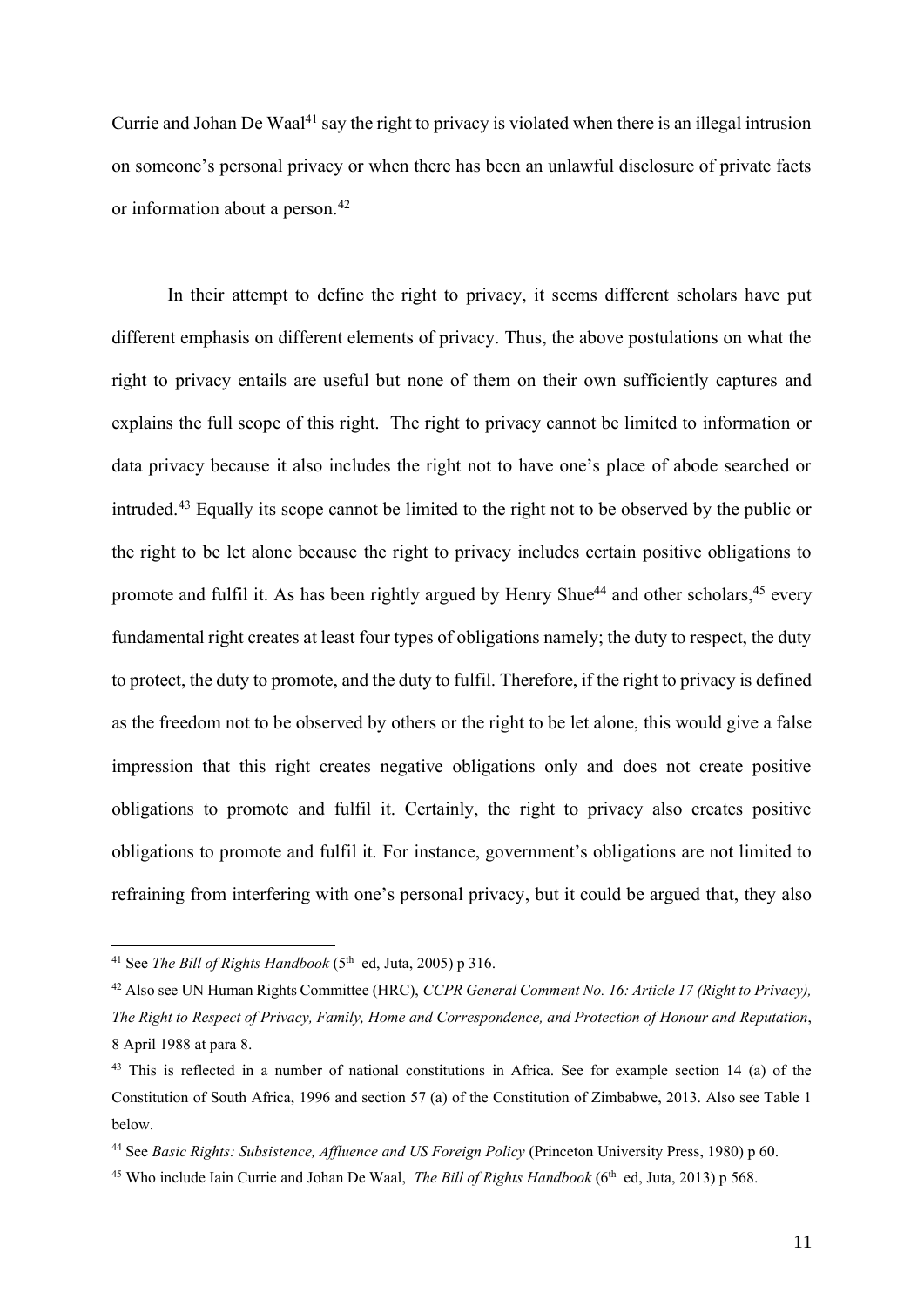Currie and Johan De Waal<sup>41</sup> say the right to privacy is violated when there is an illegal intrusion on someone's personal privacy or when there has been an unlawful disclosure of private facts or information about a person.<sup>42</sup>

In their attempt to define the right to privacy, it seems different scholars have put different emphasis on different elements of privacy. Thus, the above postulations on what the right to privacy entails are useful but none of them on their own sufficiently captures and explains the full scope of this right. The right to privacy cannot be limited to information or data privacy because it also includes the right not to have one's place of abode searched or intruded.<sup>43</sup> Equally its scope cannot be limited to the right not to be observed by the public or the right to be let alone because the right to privacy includes certain positive obligations to promote and fulfil it. As has been rightly argued by Henry Shue<sup>44</sup> and other scholars,<sup>45</sup> every fundamental right creates at least four types of obligations namely; the duty to respect, the duty to protect, the duty to promote, and the duty to fulfil. Therefore, if the right to privacy is defined as the freedom not to be observed by others or the right to be let alone, this would give a false impression that this right creates negative obligations only and does not create positive obligations to promote and fulfil it. Certainly, the right to privacy also creates positive obligations to promote and fulfil it. For instance, government's obligations are not limited to refraining from interfering with one's personal privacy, but it could be argued that, they also

<sup>&</sup>lt;sup>41</sup> See *The Bill of Rights Handbook* (5<sup>th</sup> ed, Juta, 2005) p 316.

<sup>42</sup> Also see UN Human Rights Committee (HRC), *CCPR General Comment No. 16: Article 17 (Right to Privacy), The Right to Respect of Privacy, Family, Home and Correspondence, and Protection of Honour and Reputation*, 8 April 1988 at para 8.

<sup>&</sup>lt;sup>43</sup> This is reflected in a number of national constitutions in Africa. See for example section 14 (a) of the Constitution of South Africa, 1996 and section 57 (a) of the Constitution of Zimbabwe, 2013. Also see Table 1 below.

<sup>44</sup> See *Basic Rights: Subsistence, Affluence and US Foreign Policy* (Princeton University Press, 1980) p 60.

<sup>&</sup>lt;sup>45</sup> Who include Iain Currie and Johan De Waal, *The Bill of Rights Handbook* (6<sup>th</sup> ed, Juta, 2013) p 568.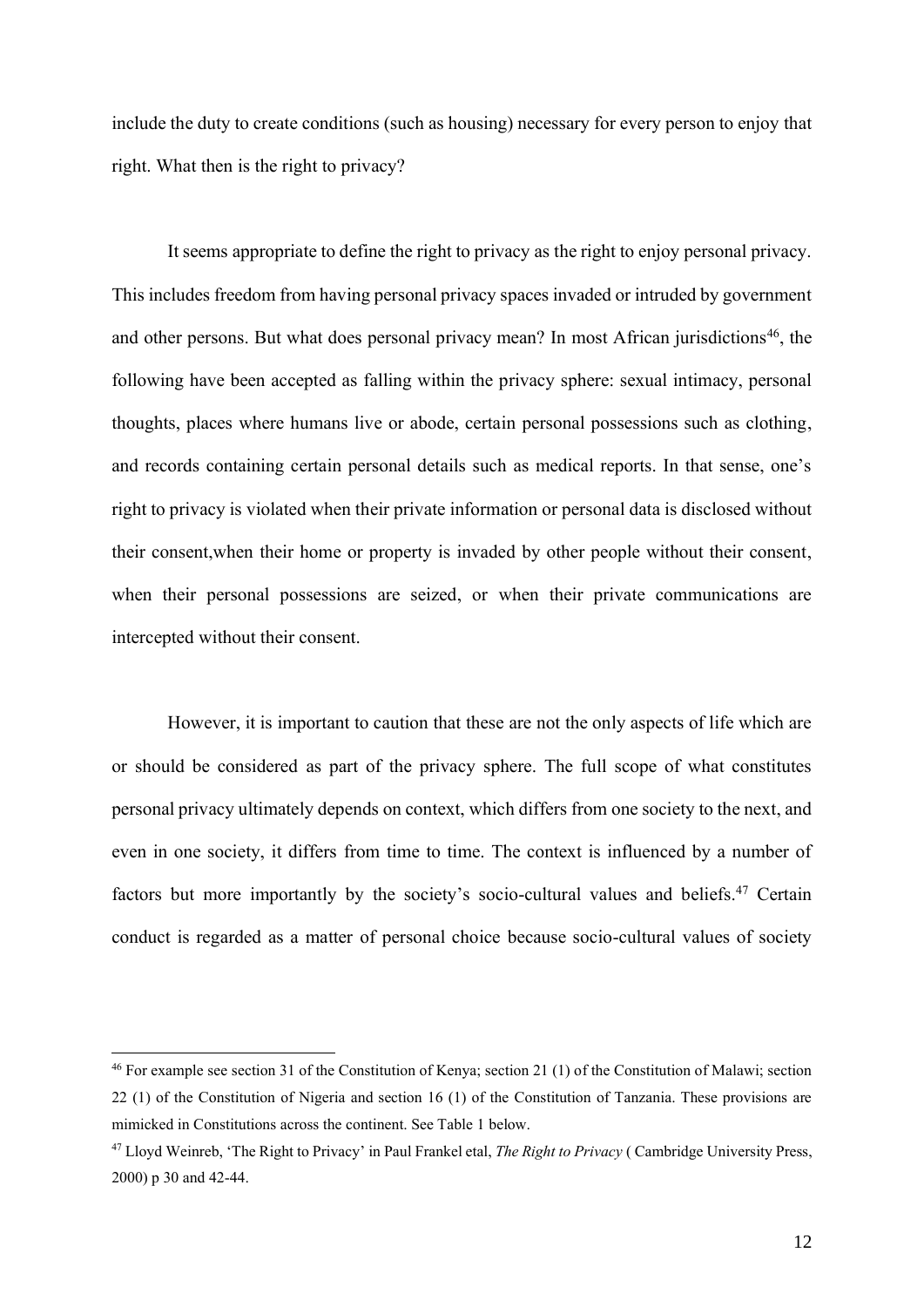include the duty to create conditions (such as housing) necessary for every person to enjoy that right. What then is the right to privacy?

It seems appropriate to define the right to privacy as the right to enjoy personal privacy. This includes freedom from having personal privacy spaces invaded or intruded by government and other persons. But what does personal privacy mean? In most African jurisdictions<sup>46</sup>, the following have been accepted as falling within the privacy sphere: sexual intimacy, personal thoughts, places where humans live or abode, certain personal possessions such as clothing, and records containing certain personal details such as medical reports. In that sense, one's right to privacy is violated when their private information or personal data is disclosed without their consent,when their home or property is invaded by other people without their consent, when their personal possessions are seized, or when their private communications are intercepted without their consent.

However, it is important to caution that these are not the only aspects of life which are or should be considered as part of the privacy sphere. The full scope of what constitutes personal privacy ultimately depends on context, which differs from one society to the next, and even in one society, it differs from time to time. The context is influenced by a number of factors but more importantly by the society's socio-cultural values and beliefs.<sup>47</sup> Certain conduct is regarded as a matter of personal choice because socio-cultural values of society

<sup>46</sup> For example see section 31 of the Constitution of Kenya; section 21 (1) of the Constitution of Malawi; section 22 (1) of the Constitution of Nigeria and section 16 (1) of the Constitution of Tanzania. These provisions are mimicked in Constitutions across the continent. See Table 1 below.

<sup>47</sup> Lloyd Weinreb, 'The Right to Privacy' in Paul Frankel etal, *The Right to Privacy* ( Cambridge University Press, 2000) p 30 and 42-44.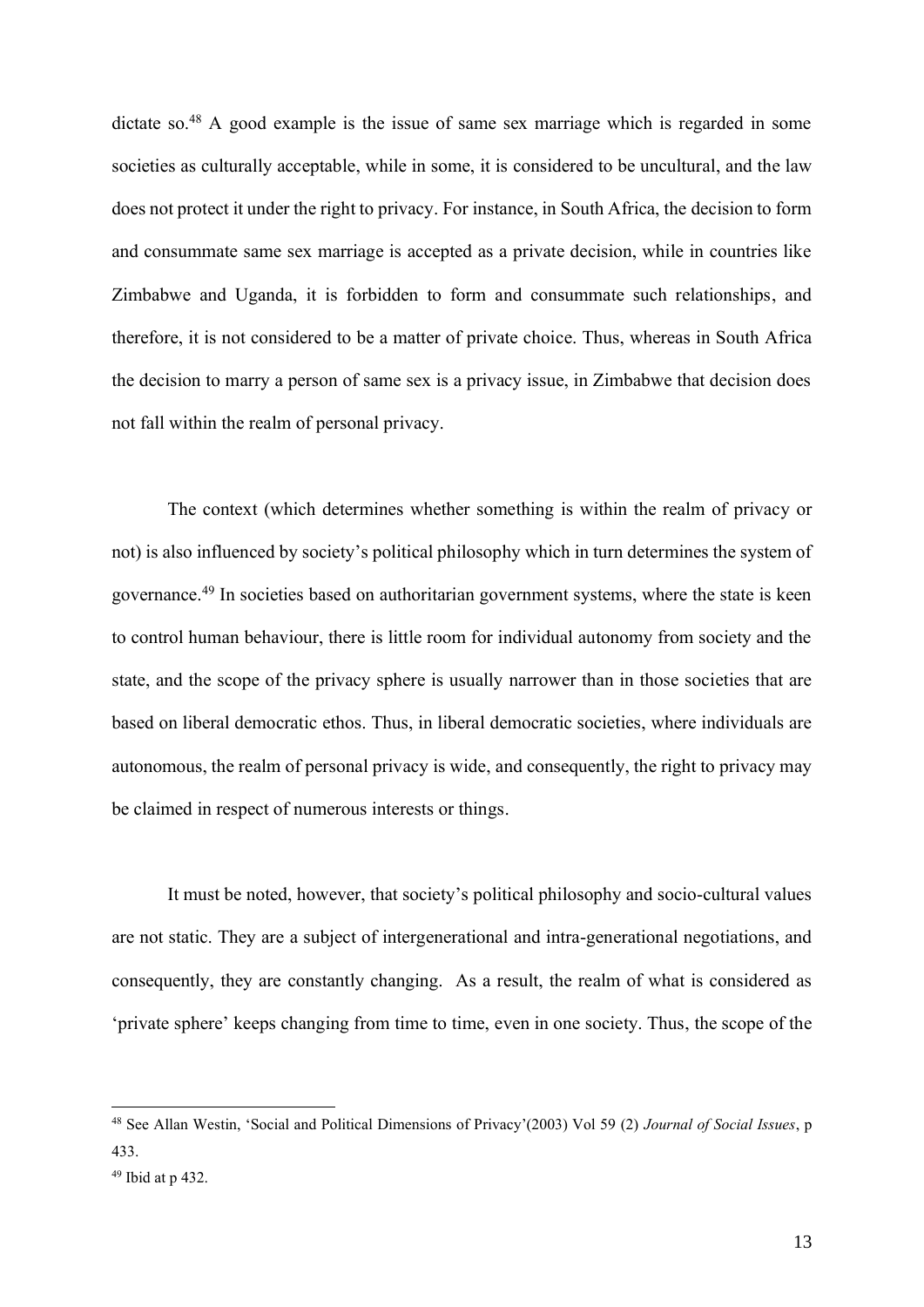dictate so.<sup>48</sup> A good example is the issue of same sex marriage which is regarded in some societies as culturally acceptable, while in some, it is considered to be uncultural, and the law does not protect it under the right to privacy. For instance, in South Africa, the decision to form and consummate same sex marriage is accepted as a private decision, while in countries like Zimbabwe and Uganda, it is forbidden to form and consummate such relationships, and therefore, it is not considered to be a matter of private choice. Thus, whereas in South Africa the decision to marry a person of same sex is a privacy issue, in Zimbabwe that decision does not fall within the realm of personal privacy.

The context (which determines whether something is within the realm of privacy or not) is also influenced by society's political philosophy which in turn determines the system of governance.<sup>49</sup> In societies based on authoritarian government systems, where the state is keen to control human behaviour, there is little room for individual autonomy from society and the state, and the scope of the privacy sphere is usually narrower than in those societies that are based on liberal democratic ethos. Thus, in liberal democratic societies, where individuals are autonomous, the realm of personal privacy is wide, and consequently, the right to privacy may be claimed in respect of numerous interests or things.

It must be noted, however, that society's political philosophy and socio-cultural values are not static. They are a subject of intergenerational and intra-generational negotiations, and consequently, they are constantly changing. As a result, the realm of what is considered as 'private sphere' keeps changing from time to time, even in one society. Thus, the scope of the

<sup>48</sup> See Allan Westin, 'Social and Political Dimensions of Privacy'(2003) Vol 59 (2) *Journal of Social Issues*, p 433.

<sup>49</sup> Ibid at p 432.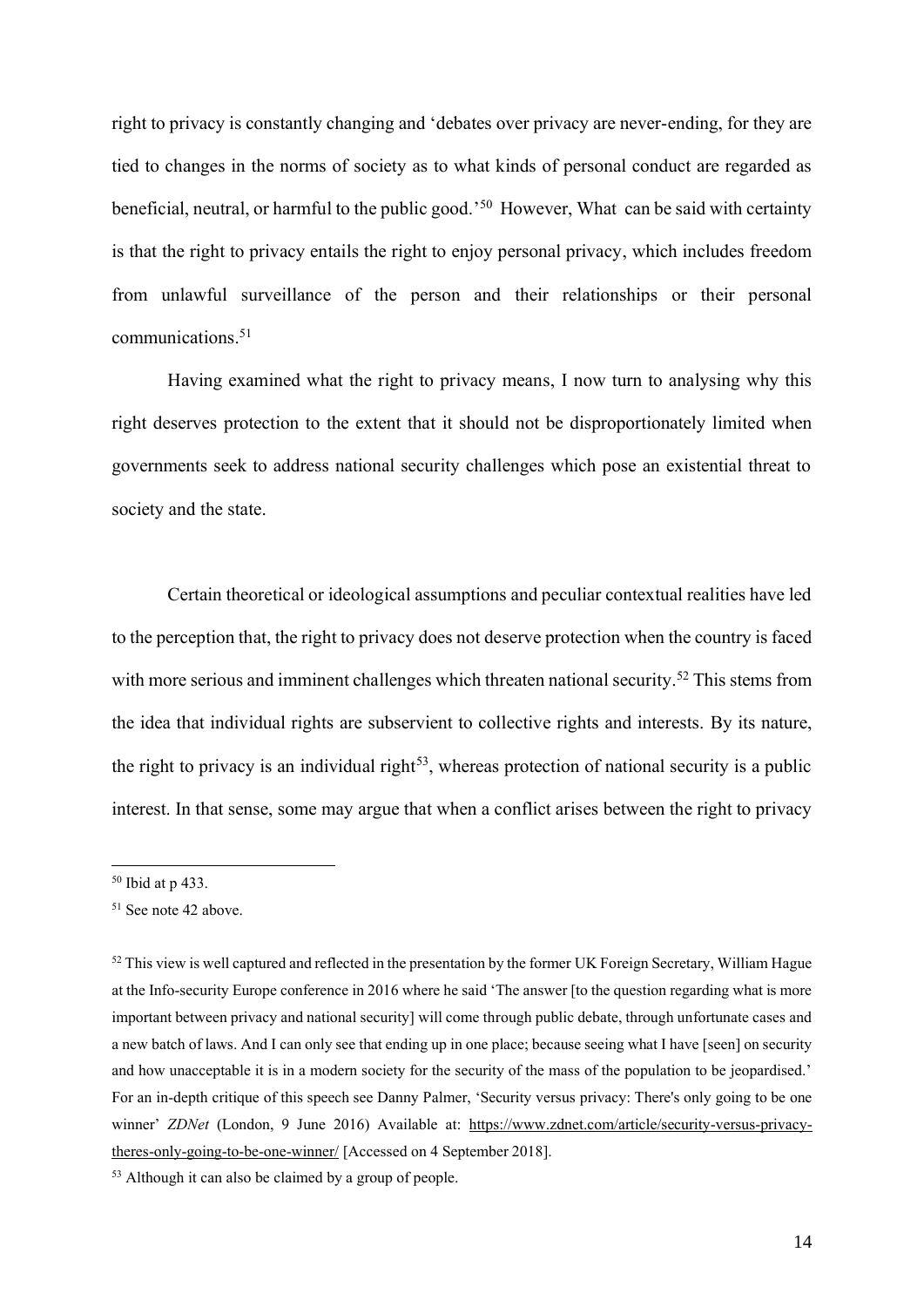right to privacy is constantly changing and 'debates over privacy are never-ending, for they are tied to changes in the norms of society as to what kinds of personal conduct are regarded as beneficial, neutral, or harmful to the public good.<sup>50</sup> However, What can be said with certainty is that the right to privacy entails the right to enjoy personal privacy, which includes freedom from unlawful surveillance of the person and their relationships or their personal communications. 51

Having examined what the right to privacy means, I now turn to analysing why this right deserves protection to the extent that it should not be disproportionately limited when governments seek to address national security challenges which pose an existential threat to society and the state.

Certain theoretical or ideological assumptions and peculiar contextual realities have led to the perception that, the right to privacy does not deserve protection when the country is faced with more serious and imminent challenges which threaten national security.<sup>52</sup> This stems from the idea that individual rights are subservient to collective rights and interests. By its nature, the right to privacy is an individual right<sup>53</sup>, whereas protection of national security is a public interest. In that sense, some may argue that when a conflict arises between the right to privacy

<sup>50</sup> Ibid at p 433.

<sup>51</sup> See note 42 above.

 $52$  This view is well captured and reflected in the presentation by the former UK Foreign Secretary, William Hague at the Info-security Europe conference in 2016 where he said 'The answer [to the question regarding what is more important between privacy and national security] will come through public debate, through unfortunate cases and a new batch of laws. And I can only see that ending up in one place; because seeing what I have [seen] on security and how unacceptable it is in a modern society for the security of the mass of the population to be jeopardised.' For an in-depth critique of this speech see Danny Palmer, 'Security versus privacy: There's only going to be one winner' *ZDNet* (London, 9 June 2016) Available at: [https://www.zdnet.com/article/security-versus-privacy](https://www.zdnet.com/article/security-versus-privacy-theres-only-going-to-be-one-winner/)[theres-only-going-to-be-one-winner/](https://www.zdnet.com/article/security-versus-privacy-theres-only-going-to-be-one-winner/) [Accessed on 4 September 2018].

<sup>53</sup> Although it can also be claimed by a group of people.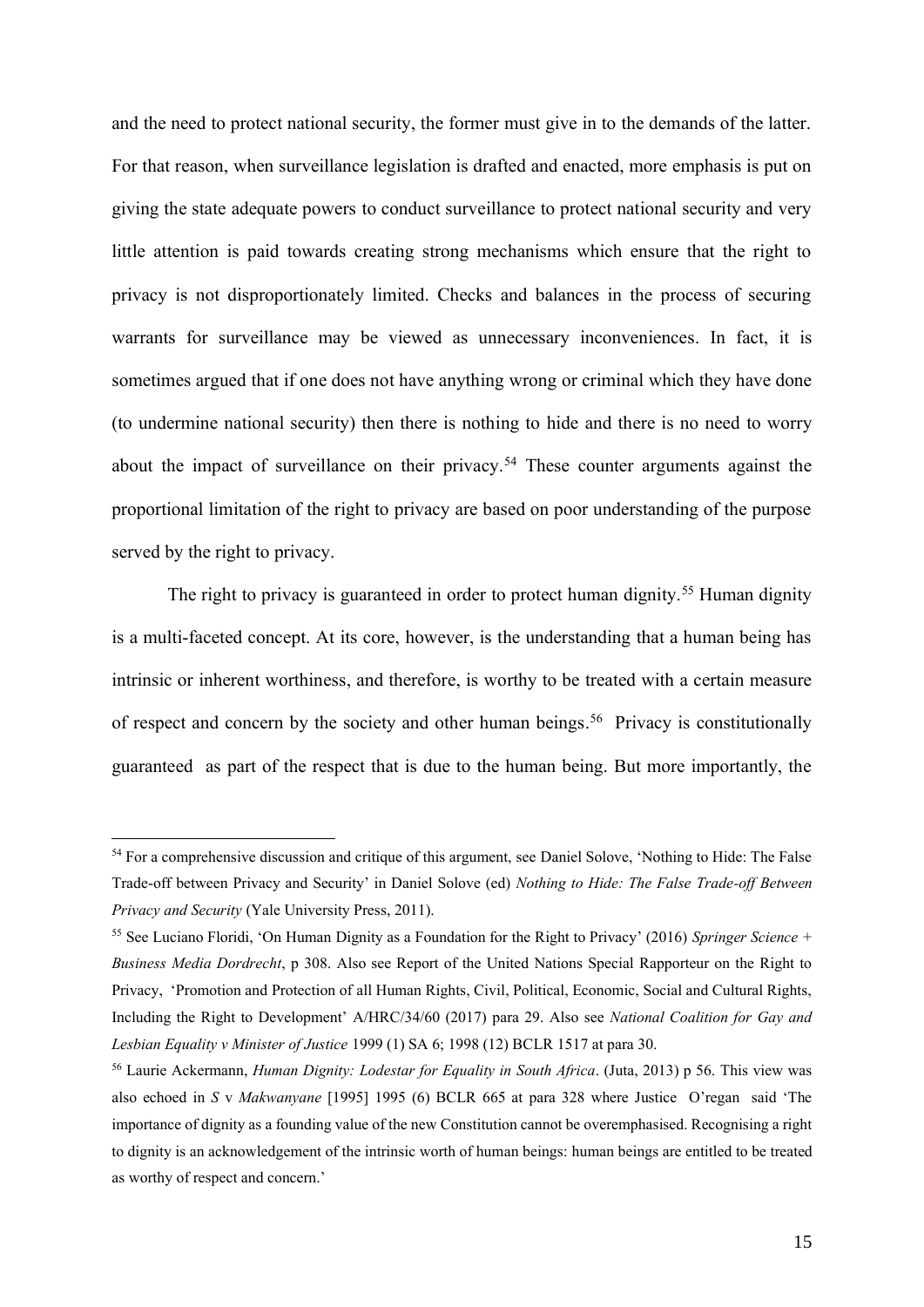and the need to protect national security, the former must give in to the demands of the latter. For that reason, when surveillance legislation is drafted and enacted, more emphasis is put on giving the state adequate powers to conduct surveillance to protect national security and very little attention is paid towards creating strong mechanisms which ensure that the right to privacy is not disproportionately limited. Checks and balances in the process of securing warrants for surveillance may be viewed as unnecessary inconveniences. In fact, it is sometimes argued that if one does not have anything wrong or criminal which they have done (to undermine national security) then there is nothing to hide and there is no need to worry about the impact of surveillance on their privacy.<sup>54</sup> These counter arguments against the proportional limitation of the right to privacy are based on poor understanding of the purpose served by the right to privacy.

The right to privacy is guaranteed in order to protect human dignity.<sup>55</sup> Human dignity is a multi-faceted concept. At its core, however, is the understanding that a human being has intrinsic or inherent worthiness, and therefore, is worthy to be treated with a certain measure of respect and concern by the society and other human beings.<sup>56</sup> Privacy is constitutionally guaranteed as part of the respect that is due to the human being. But more importantly, the

<sup>&</sup>lt;sup>54</sup> For a comprehensive discussion and critique of this argument, see Daniel Solove, 'Nothing to Hide: The False Trade-off between Privacy and Security' in Daniel Solove (ed) *Nothing to Hide: The False Trade-off Between Privacy and Security* (Yale University Press, 2011).

<sup>55</sup> See Luciano Floridi, 'On Human Dignity as a Foundation for the Right to Privacy' (2016) *Springer Science + Business Media Dordrecht*, p 308. Also see Report of the United Nations Special Rapporteur on the Right to Privacy, 'Promotion and Protection of all Human Rights, Civil, Political, Economic, Social and Cultural Rights, Including the Right to Development' A/HRC/34/60 (2017) para 29. Also see *National Coalition for Gay and Lesbian Equality v Minister of Justice* 1999 (1) SA 6; 1998 (12) BCLR 1517 at para 30.

<sup>56</sup> Laurie Ackermann, *Human Dignity: Lodestar for Equality in South Africa*. (Juta, 2013) p 56. This view was also echoed in *S* v *Makwanyane* [1995] 1995 (6) BCLR 665 at para 328 where Justice O'regan said 'The importance of dignity as a founding value of the new Constitution cannot be overemphasised. Recognising a right to dignity is an acknowledgement of the intrinsic worth of human beings: human beings are entitled to be treated as worthy of respect and concern.'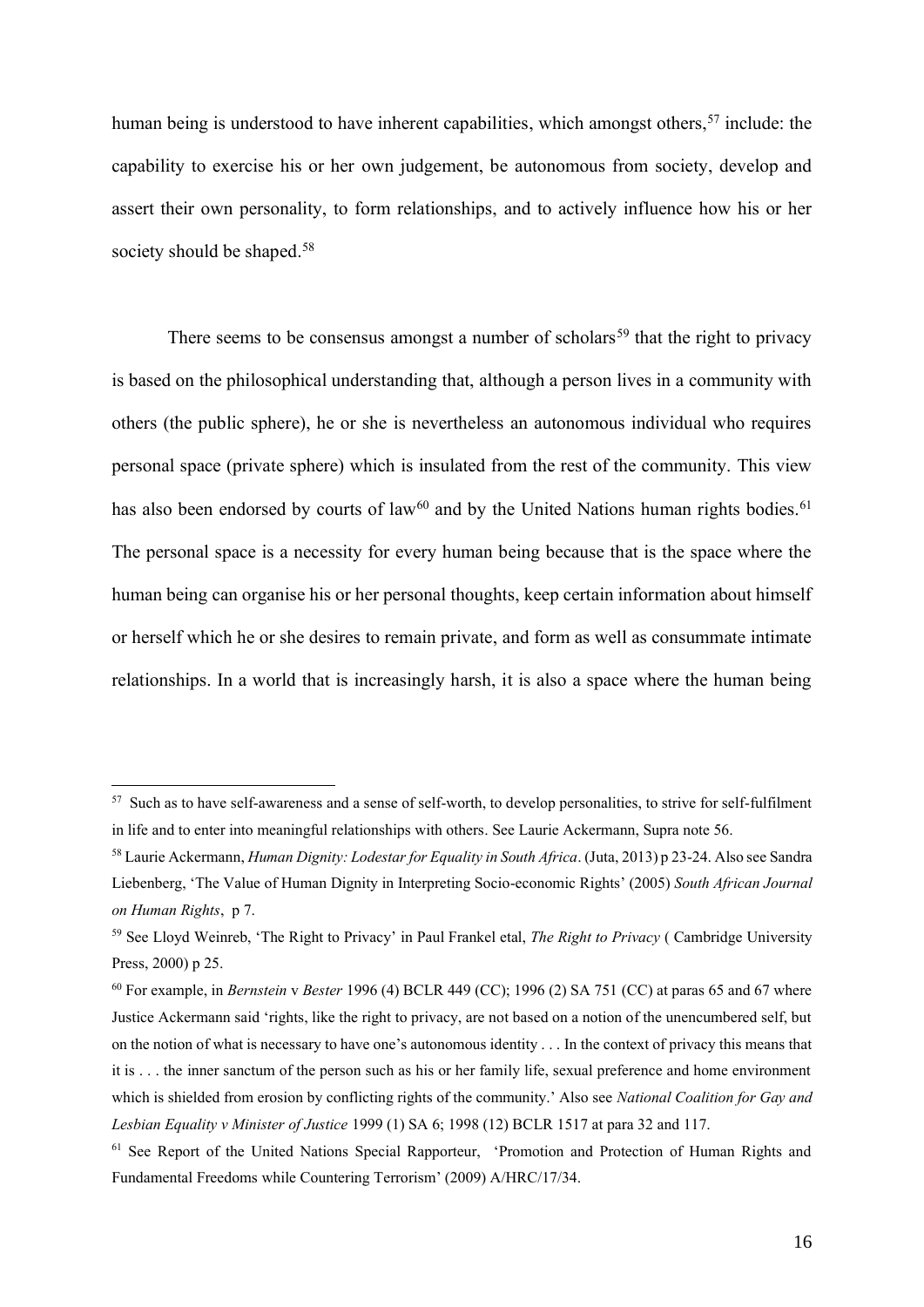human being is understood to have inherent capabilities, which amongst others,<sup>57</sup> include: the capability to exercise his or her own judgement, be autonomous from society, develop and assert their own personality, to form relationships, and to actively influence how his or her society should be shaped.<sup>58</sup>

There seems to be consensus amongst a number of scholars<sup>59</sup> that the right to privacy is based on the philosophical understanding that, although a person lives in a community with others (the public sphere), he or she is nevertheless an autonomous individual who requires personal space (private sphere) which is insulated from the rest of the community. This view has also been endorsed by courts of law<sup>60</sup> and by the United Nations human rights bodies.<sup>61</sup> The personal space is a necessity for every human being because that is the space where the human being can organise his or her personal thoughts, keep certain information about himself or herself which he or she desires to remain private, and form as well as consummate intimate relationships. In a world that is increasingly harsh, it is also a space where the human being

<sup>&</sup>lt;sup>57</sup> Such as to have self-awareness and a sense of self-worth, to develop personalities, to strive for self-fulfilment in life and to enter into meaningful relationships with others. See Laurie Ackermann, Supra note 56.

<sup>58</sup> Laurie Ackermann, *Human Dignity: Lodestar for Equality in South Africa*. (Juta, 2013) p 23-24. Also see Sandra Liebenberg, 'The Value of Human Dignity in Interpreting Socio-economic Rights' (2005) *South African Journal on Human Rights*, p 7.

<sup>59</sup> See Lloyd Weinreb, 'The Right to Privacy' in Paul Frankel etal, *The Right to Privacy* ( Cambridge University Press, 2000) p 25.

<sup>60</sup> For example, in *Bernstein* v *Bester* 1996 (4) BCLR 449 (CC); 1996 (2) SA 751 (CC) at paras 65 and 67 where Justice Ackermann said 'rights, like the right to privacy, are not based on a notion of the unencumbered self, but on the notion of what is necessary to have one's autonomous identity . . . In the context of privacy this means that it is . . . the inner sanctum of the person such as his or her family life, sexual preference and home environment which is shielded from erosion by conflicting rights of the community.' Also see *National Coalition for Gay and Lesbian Equality v Minister of Justice* 1999 (1) SA 6; 1998 (12) BCLR 1517 at para 32 and 117.

<sup>&</sup>lt;sup>61</sup> See Report of the United Nations Special Rapporteur, 'Promotion and Protection of Human Rights and Fundamental Freedoms while Countering Terrorism' (2009) A/HRC/17/34.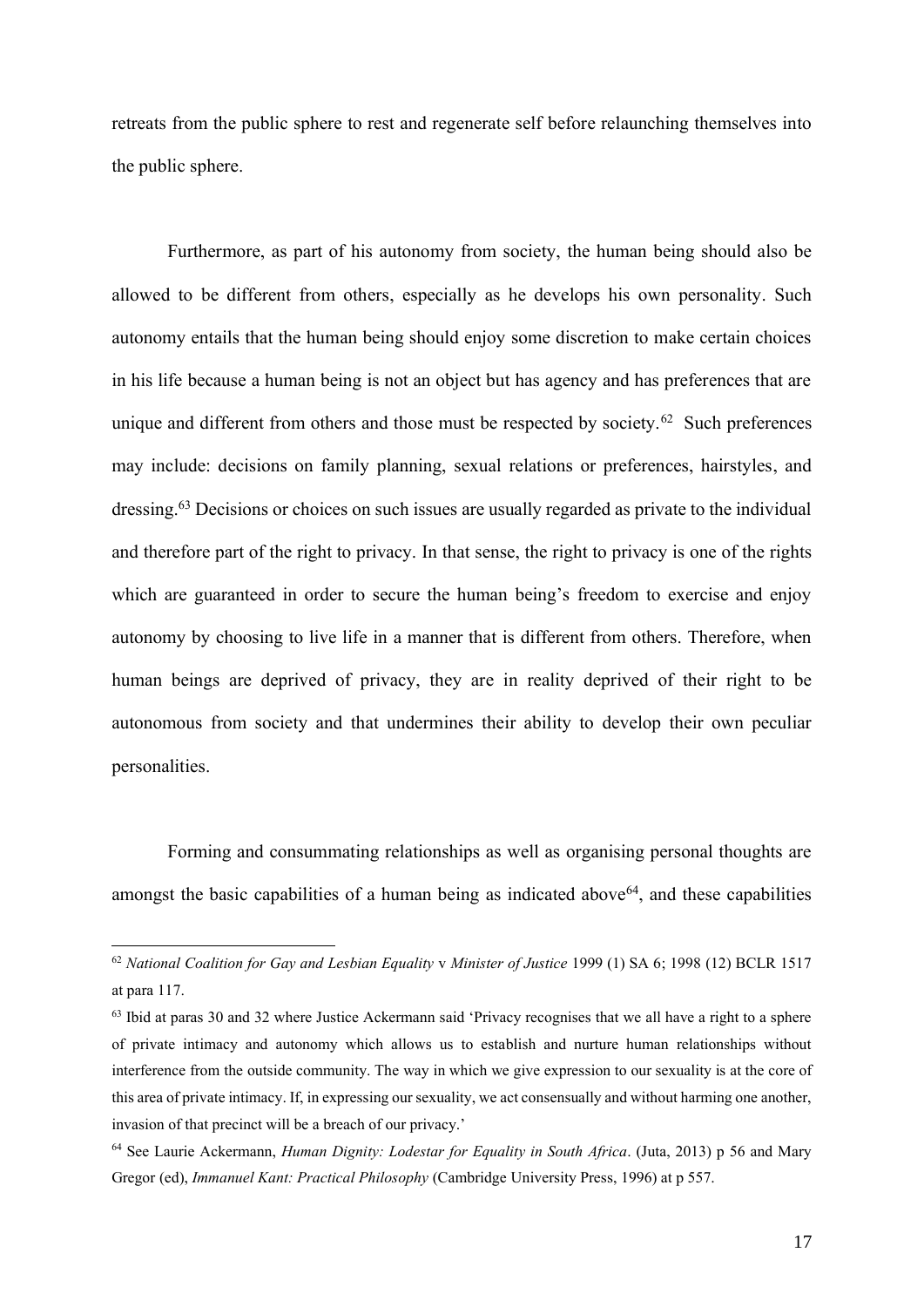retreats from the public sphere to rest and regenerate self before relaunching themselves into the public sphere.

Furthermore, as part of his autonomy from society, the human being should also be allowed to be different from others, especially as he develops his own personality. Such autonomy entails that the human being should enjoy some discretion to make certain choices in his life because a human being is not an object but has agency and has preferences that are unique and different from others and those must be respected by society. $62$  Such preferences may include: decisions on family planning, sexual relations or preferences, hairstyles, and dressing.<sup>63</sup> Decisions or choices on such issues are usually regarded as private to the individual and therefore part of the right to privacy. In that sense, the right to privacy is one of the rights which are guaranteed in order to secure the human being's freedom to exercise and enjoy autonomy by choosing to live life in a manner that is different from others. Therefore, when human beings are deprived of privacy, they are in reality deprived of their right to be autonomous from society and that undermines their ability to develop their own peculiar personalities.

Forming and consummating relationships as well as organising personal thoughts are amongst the basic capabilities of a human being as indicated above $64$ , and these capabilities

<sup>62</sup> *National Coalition for Gay and Lesbian Equality* v *Minister of Justice* 1999 (1) SA 6; 1998 (12) BCLR 1517 at para 117.

<sup>63</sup> Ibid at paras 30 and 32 where Justice Ackermann said 'Privacy recognises that we all have a right to a sphere of private intimacy and autonomy which allows us to establish and nurture human relationships without interference from the outside community. The way in which we give expression to our sexuality is at the core of this area of private intimacy. If, in expressing our sexuality, we act consensually and without harming one another, invasion of that precinct will be a breach of our privacy.'

<sup>64</sup> See Laurie Ackermann, *Human Dignity: Lodestar for Equality in South Africa*. (Juta, 2013) p 56 and Mary Gregor (ed), *Immanuel Kant: Practical Philosophy* (Cambridge University Press, 1996) at p 557.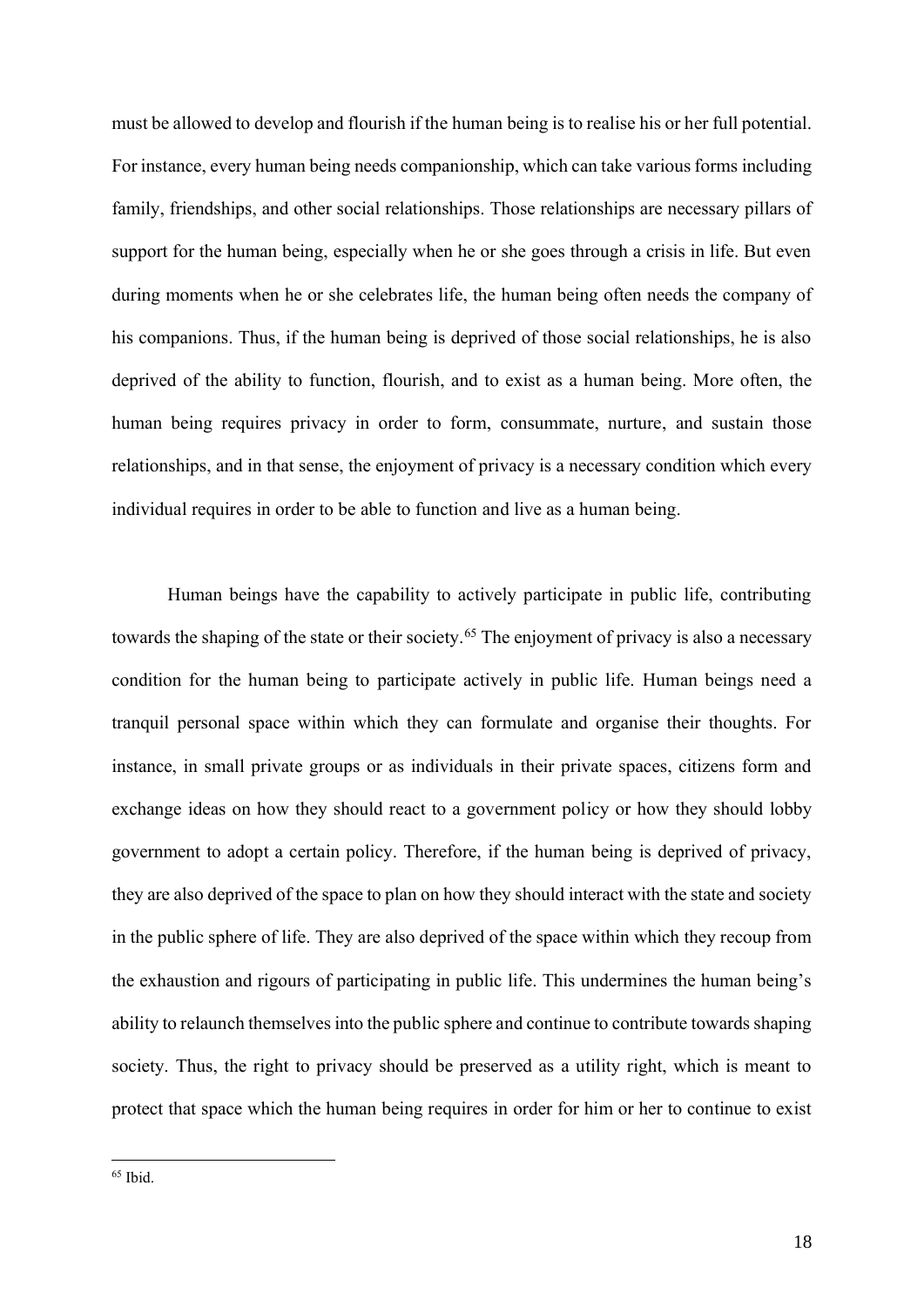must be allowed to develop and flourish if the human being is to realise his or her full potential. For instance, every human being needs companionship, which can take various forms including family, friendships, and other social relationships. Those relationships are necessary pillars of support for the human being, especially when he or she goes through a crisis in life. But even during moments when he or she celebrates life, the human being often needs the company of his companions. Thus, if the human being is deprived of those social relationships, he is also deprived of the ability to function, flourish, and to exist as a human being. More often, the human being requires privacy in order to form, consummate, nurture, and sustain those relationships, and in that sense, the enjoyment of privacy is a necessary condition which every individual requires in order to be able to function and live as a human being.

Human beings have the capability to actively participate in public life, contributing towards the shaping of the state or their society.<sup>65</sup> The enjoyment of privacy is also a necessary condition for the human being to participate actively in public life. Human beings need a tranquil personal space within which they can formulate and organise their thoughts. For instance, in small private groups or as individuals in their private spaces, citizens form and exchange ideas on how they should react to a government policy or how they should lobby government to adopt a certain policy. Therefore, if the human being is deprived of privacy, they are also deprived of the space to plan on how they should interact with the state and society in the public sphere of life. They are also deprived of the space within which they recoup from the exhaustion and rigours of participating in public life. This undermines the human being's ability to relaunch themselves into the public sphere and continue to contribute towards shaping society. Thus, the right to privacy should be preserved as a utility right, which is meant to protect that space which the human being requires in order for him or her to continue to exist

<sup>65</sup> Ibid.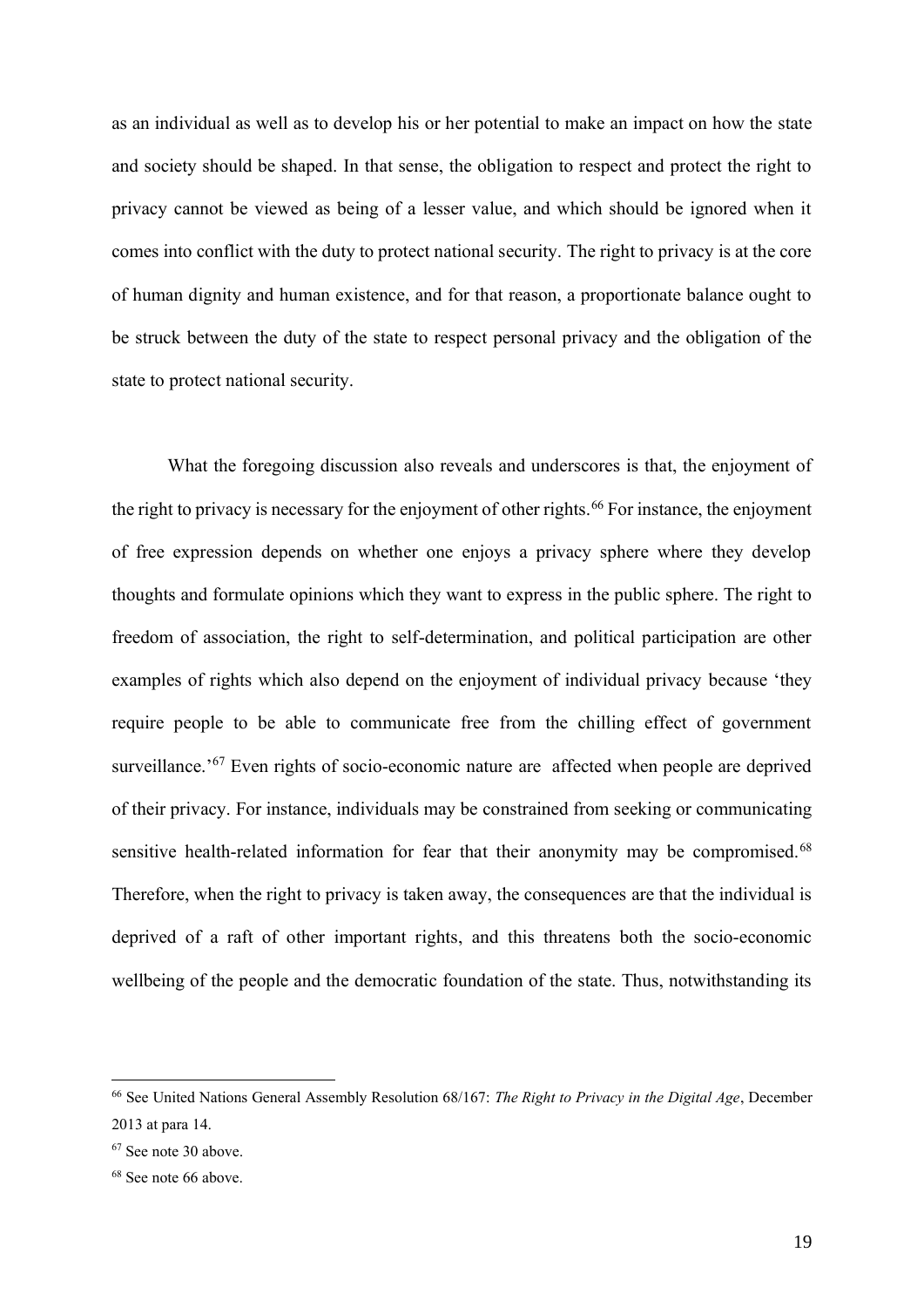as an individual as well as to develop his or her potential to make an impact on how the state and society should be shaped. In that sense, the obligation to respect and protect the right to privacy cannot be viewed as being of a lesser value, and which should be ignored when it comes into conflict with the duty to protect national security. The right to privacy is at the core of human dignity and human existence, and for that reason, a proportionate balance ought to be struck between the duty of the state to respect personal privacy and the obligation of the state to protect national security.

What the foregoing discussion also reveals and underscores is that, the enjoyment of the right to privacy is necessary for the enjoyment of other rights.<sup>66</sup> For instance, the enjoyment of free expression depends on whether one enjoys a privacy sphere where they develop thoughts and formulate opinions which they want to express in the public sphere. The right to freedom of association, the right to self-determination, and political participation are other examples of rights which also depend on the enjoyment of individual privacy because 'they require people to be able to communicate free from the chilling effect of government surveillance.<sup>'67</sup> Even rights of socio-economic nature are affected when people are deprived of their privacy. For instance, individuals may be constrained from seeking or communicating sensitive health-related information for fear that their anonymity may be compromised.<sup>68</sup> Therefore, when the right to privacy is taken away, the consequences are that the individual is deprived of a raft of other important rights, and this threatens both the socio-economic wellbeing of the people and the democratic foundation of the state. Thus, notwithstanding its

<sup>66</sup> See United Nations General Assembly Resolution 68/167: *The Right to Privacy in the Digital Age*, December 2013 at para 14.

<sup>67</sup> See note 30 above.

<sup>68</sup> See note 66 above.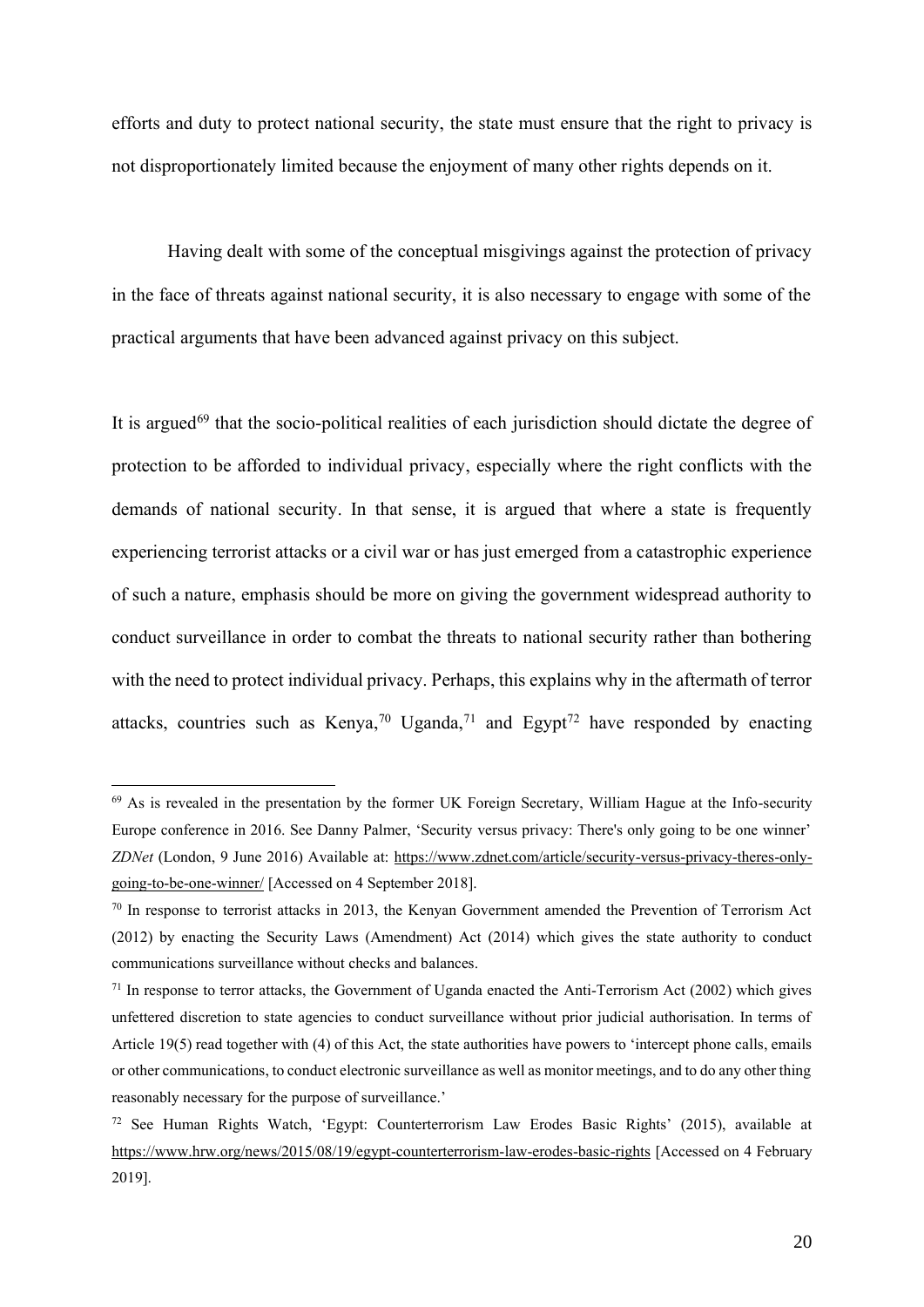efforts and duty to protect national security, the state must ensure that the right to privacy is not disproportionately limited because the enjoyment of many other rights depends on it.

Having dealt with some of the conceptual misgivings against the protection of privacy in the face of threats against national security, it is also necessary to engage with some of the practical arguments that have been advanced against privacy on this subject.

It is argued<sup>69</sup> that the socio-political realities of each jurisdiction should dictate the degree of protection to be afforded to individual privacy, especially where the right conflicts with the demands of national security. In that sense, it is argued that where a state is frequently experiencing terrorist attacks or a civil war or has just emerged from a catastrophic experience of such a nature, emphasis should be more on giving the government widespread authority to conduct surveillance in order to combat the threats to national security rather than bothering with the need to protect individual privacy. Perhaps, this explains why in the aftermath of terror attacks, countries such as Kenya,<sup>70</sup> Uganda,<sup>71</sup> and Egypt<sup>72</sup> have responded by enacting

<sup>&</sup>lt;sup>69</sup> As is revealed in the presentation by the former UK Foreign Secretary, William Hague at the Info-security Europe conference in 2016. See Danny Palmer, 'Security versus privacy: There's only going to be one winner' *ZDNet* (London, 9 June 2016) Available at: [https://www.zdnet.com/article/security-versus-privacy-theres-only](https://www.zdnet.com/article/security-versus-privacy-theres-only-going-to-be-one-winner/)[going-to-be-one-winner/](https://www.zdnet.com/article/security-versus-privacy-theres-only-going-to-be-one-winner/) [Accessed on 4 September 2018].

<sup>70</sup> In response to terrorist attacks in 2013, the Kenyan Government amended the Prevention of Terrorism Act (2012) by enacting the Security Laws (Amendment) Act (2014) which gives the state authority to conduct communications surveillance without checks and balances.

 $71$  In response to terror attacks, the Government of Uganda enacted the Anti-Terrorism Act (2002) which gives unfettered discretion to state agencies to conduct surveillance without prior judicial authorisation. In terms of Article 19(5) read together with (4) of this Act, the state authorities have powers to 'intercept phone calls, emails or other communications, to conduct electronic surveillance as well as monitor meetings, and to do any other thing reasonably necessary for the purpose of surveillance.'

<sup>72</sup> See Human Rights Watch, 'Egypt: Counterterrorism Law Erodes Basic Rights' (2015), available at <https://www.hrw.org/news/2015/08/19/egypt-counterterrorism-law-erodes-basic-rights> [Accessed on 4 February 2019].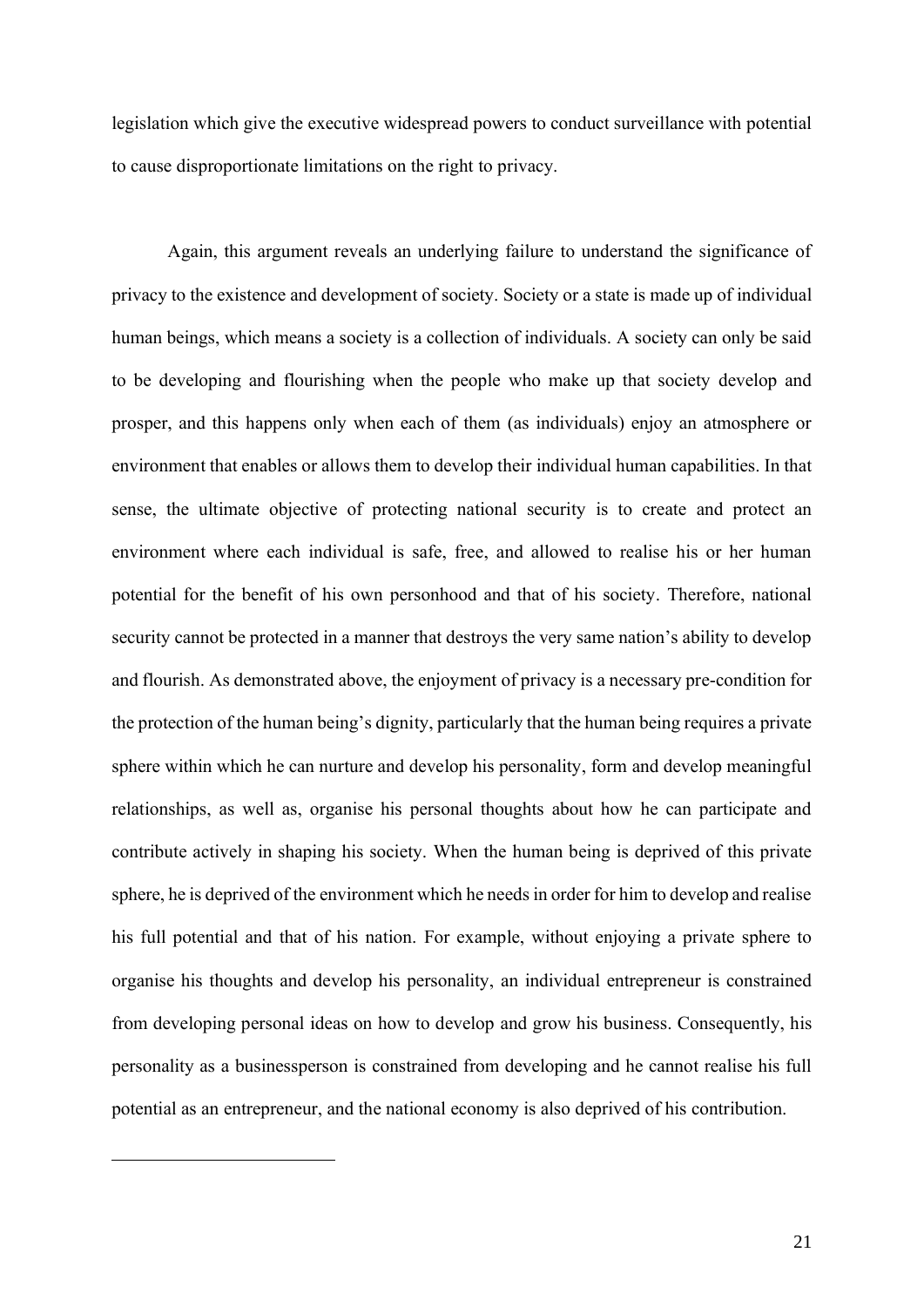legislation which give the executive widespread powers to conduct surveillance with potential to cause disproportionate limitations on the right to privacy.

Again, this argument reveals an underlying failure to understand the significance of privacy to the existence and development of society. Society or a state is made up of individual human beings, which means a society is a collection of individuals. A society can only be said to be developing and flourishing when the people who make up that society develop and prosper, and this happens only when each of them (as individuals) enjoy an atmosphere or environment that enables or allows them to develop their individual human capabilities. In that sense, the ultimate objective of protecting national security is to create and protect an environment where each individual is safe, free, and allowed to realise his or her human potential for the benefit of his own personhood and that of his society. Therefore, national security cannot be protected in a manner that destroys the very same nation's ability to develop and flourish. As demonstrated above, the enjoyment of privacy is a necessary pre-condition for the protection of the human being's dignity, particularly that the human being requires a private sphere within which he can nurture and develop his personality, form and develop meaningful relationships, as well as, organise his personal thoughts about how he can participate and contribute actively in shaping his society. When the human being is deprived of this private sphere, he is deprived of the environment which he needs in order for him to develop and realise his full potential and that of his nation. For example, without enjoying a private sphere to organise his thoughts and develop his personality, an individual entrepreneur is constrained from developing personal ideas on how to develop and grow his business. Consequently, his personality as a businessperson is constrained from developing and he cannot realise his full potential as an entrepreneur, and the national economy is also deprived of his contribution.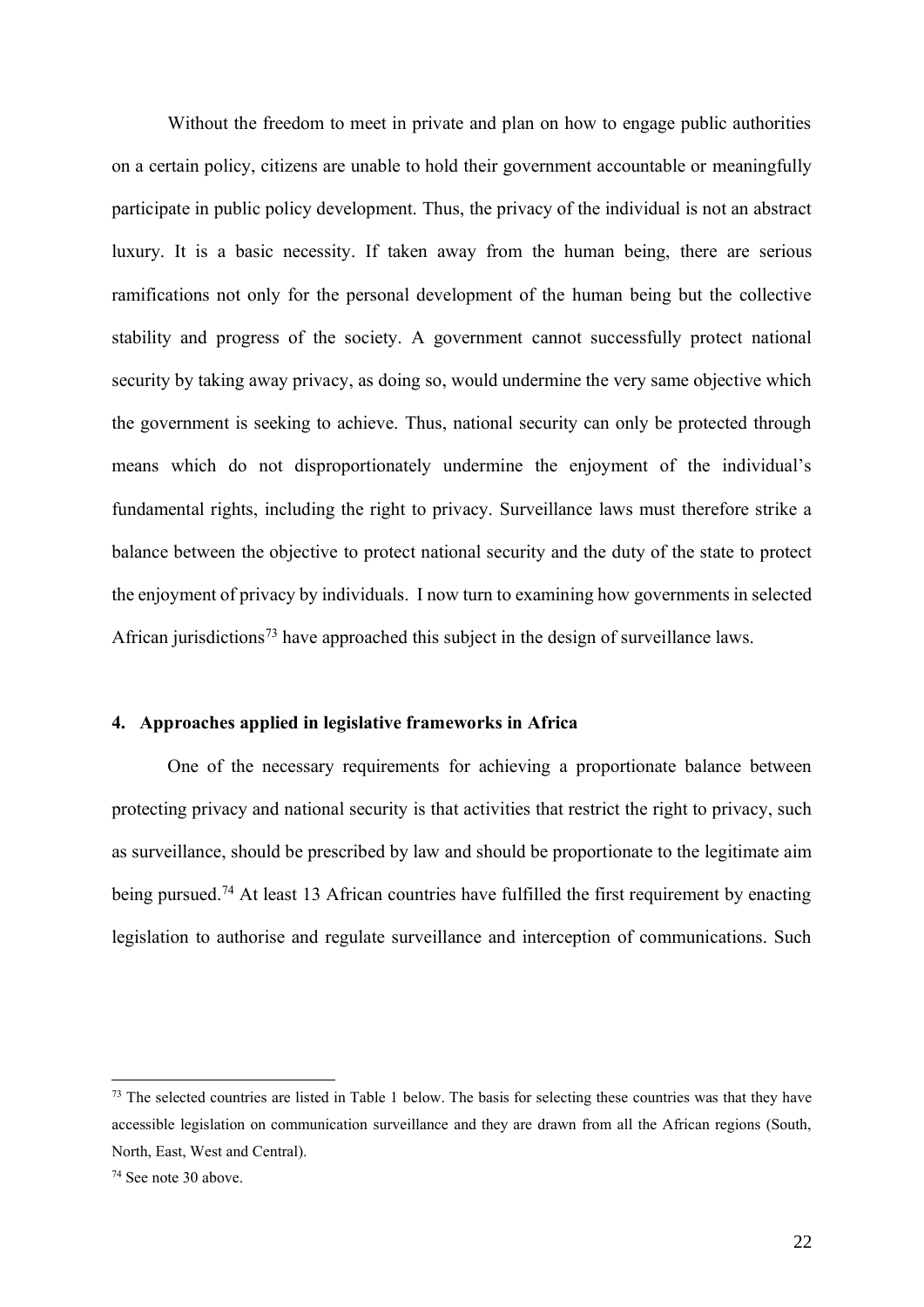Without the freedom to meet in private and plan on how to engage public authorities on a certain policy, citizens are unable to hold their government accountable or meaningfully participate in public policy development. Thus, the privacy of the individual is not an abstract luxury. It is a basic necessity. If taken away from the human being, there are serious ramifications not only for the personal development of the human being but the collective stability and progress of the society. A government cannot successfully protect national security by taking away privacy, as doing so, would undermine the very same objective which the government is seeking to achieve. Thus, national security can only be protected through means which do not disproportionately undermine the enjoyment of the individual's fundamental rights, including the right to privacy. Surveillance laws must therefore strike a balance between the objective to protect national security and the duty of the state to protect the enjoyment of privacy by individuals. I now turn to examining how governments in selected African jurisdictions<sup>73</sup> have approached this subject in the design of surveillance laws.

#### **4. Approaches applied in legislative frameworks in Africa**

One of the necessary requirements for achieving a proportionate balance between protecting privacy and national security is that activities that restrict the right to privacy, such as surveillance, should be prescribed by law and should be proportionate to the legitimate aim being pursued.<sup>74</sup> At least 13 African countries have fulfilled the first requirement by enacting legislation to authorise and regulate surveillance and interception of communications. Such

<sup>&</sup>lt;sup>73</sup> The selected countries are listed in Table 1 below. The basis for selecting these countries was that they have accessible legislation on communication surveillance and they are drawn from all the African regions (South, North, East, West and Central).

<sup>74</sup> See note 30 above.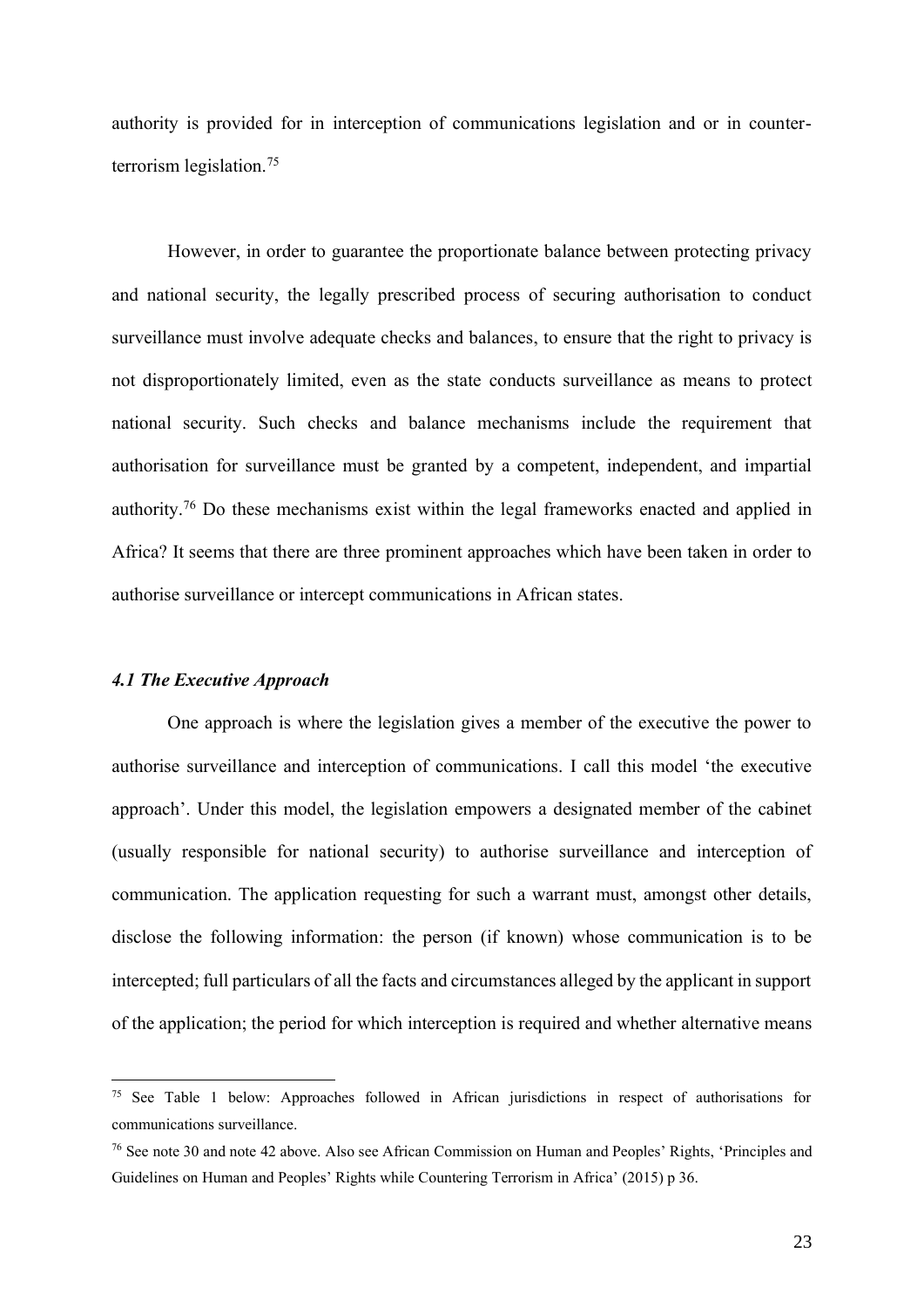authority is provided for in interception of communications legislation and or in counterterrorism legislation.<sup>75</sup>

However, in order to guarantee the proportionate balance between protecting privacy and national security, the legally prescribed process of securing authorisation to conduct surveillance must involve adequate checks and balances, to ensure that the right to privacy is not disproportionately limited, even as the state conducts surveillance as means to protect national security. Such checks and balance mechanisms include the requirement that authorisation for surveillance must be granted by a competent, independent, and impartial authority. <sup>76</sup> Do these mechanisms exist within the legal frameworks enacted and applied in Africa? It seems that there are three prominent approaches which have been taken in order to authorise surveillance or intercept communications in African states.

#### *4.1 The Executive Approach*

One approach is where the legislation gives a member of the executive the power to authorise surveillance and interception of communications. I call this model 'the executive approach'. Under this model, the legislation empowers a designated member of the cabinet (usually responsible for national security) to authorise surveillance and interception of communication. The application requesting for such a warrant must, amongst other details, disclose the following information: the person (if known) whose communication is to be intercepted; full particulars of all the facts and circumstances alleged by the applicant in support of the application; the period for which interception is required and whether alternative means

<sup>75</sup> See Table 1 below: Approaches followed in African jurisdictions in respect of authorisations for communications surveillance.

<sup>76</sup> See note 30 and note 42 above. Also see African Commission on Human and Peoples' Rights, 'Principles and Guidelines on Human and Peoples' Rights while Countering Terrorism in Africa' (2015) p 36.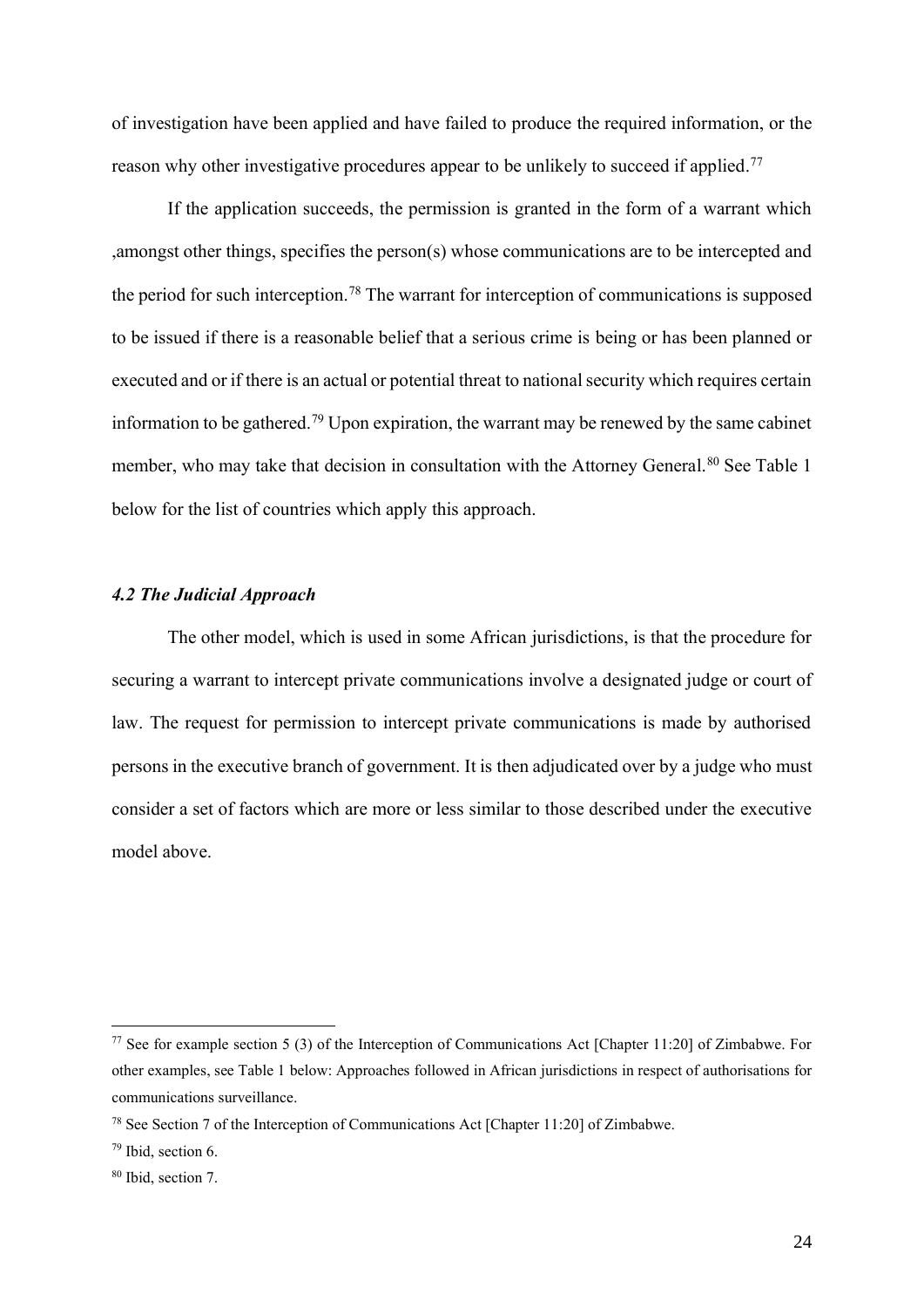of investigation have been applied and have failed to produce the required information, or the reason why other investigative procedures appear to be unlikely to succeed if applied.<sup>77</sup>

If the application succeeds, the permission is granted in the form of a warrant which ,amongst other things, specifies the person(s) whose communications are to be intercepted and the period for such interception.<sup>78</sup> The warrant for interception of communications is supposed to be issued if there is a reasonable belief that a serious crime is being or has been planned or executed and or if there is an actual or potential threat to national security which requires certain information to be gathered.<sup>79</sup> Upon expiration, the warrant may be renewed by the same cabinet member, who may take that decision in consultation with the Attorney General.<sup>80</sup> See Table 1 below for the list of countries which apply this approach.

### *4.2 The Judicial Approach*

The other model, which is used in some African jurisdictions, is that the procedure for securing a warrant to intercept private communications involve a designated judge or court of law. The request for permission to intercept private communications is made by authorised persons in the executive branch of government. It is then adjudicated over by a judge who must consider a set of factors which are more or less similar to those described under the executive model above.

<sup>77</sup> See for example section 5 (3) of the Interception of Communications Act [Chapter 11:20] of Zimbabwe. For other examples, see Table 1 below: Approaches followed in African jurisdictions in respect of authorisations for communications surveillance.

<sup>78</sup> See Section 7 of the Interception of Communications Act [Chapter 11:20] of Zimbabwe.

<sup>79</sup> Ibid, section 6.

<sup>80</sup> Ibid, section 7.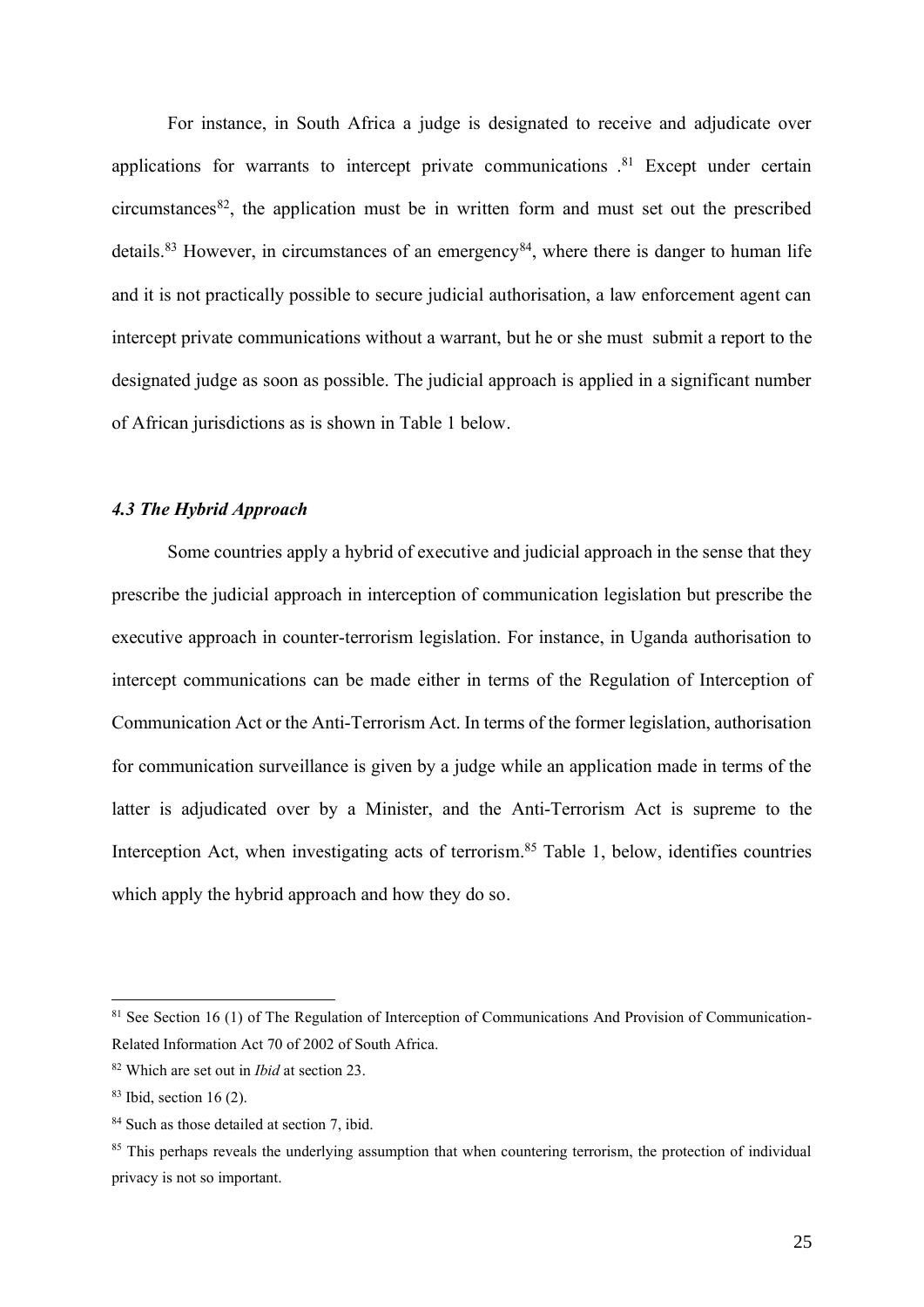For instance, in South Africa a judge is designated to receive and adjudicate over applications for warrants to intercept private communications .<sup>81</sup> Except under certain circumstances $82$ , the application must be in written form and must set out the prescribed details.<sup>83</sup> However, in circumstances of an emergency<sup>84</sup>, where there is danger to human life and it is not practically possible to secure judicial authorisation, a law enforcement agent can intercept private communications without a warrant, but he or she must submit a report to the designated judge as soon as possible. The judicial approach is applied in a significant number of African jurisdictions as is shown in Table 1 below.

# *4.3 The Hybrid Approach*

Some countries apply a hybrid of executive and judicial approach in the sense that they prescribe the judicial approach in interception of communication legislation but prescribe the executive approach in counter-terrorism legislation. For instance, in Uganda authorisation to intercept communications can be made either in terms of the Regulation of Interception of Communication Act or the Anti-Terrorism Act. In terms of the former legislation, authorisation for communication surveillance is given by a judge while an application made in terms of the latter is adjudicated over by a Minister, and the Anti-Terrorism Act is supreme to the Interception Act, when investigating acts of terrorism. <sup>85</sup> Table 1, below, identifies countries which apply the hybrid approach and how they do so.

<sup>&</sup>lt;sup>81</sup> See Section 16 (1) of The Regulation of Interception of Communications And Provision of Communication-Related Information Act 70 of 2002 of South Africa.

<sup>82</sup> Which are set out in *Ibid* at section 23.

 $83$  Ibid, section 16 (2).

<sup>84</sup> Such as those detailed at section 7, ibid.

<sup>&</sup>lt;sup>85</sup> This perhaps reveals the underlying assumption that when countering terrorism, the protection of individual privacy is not so important.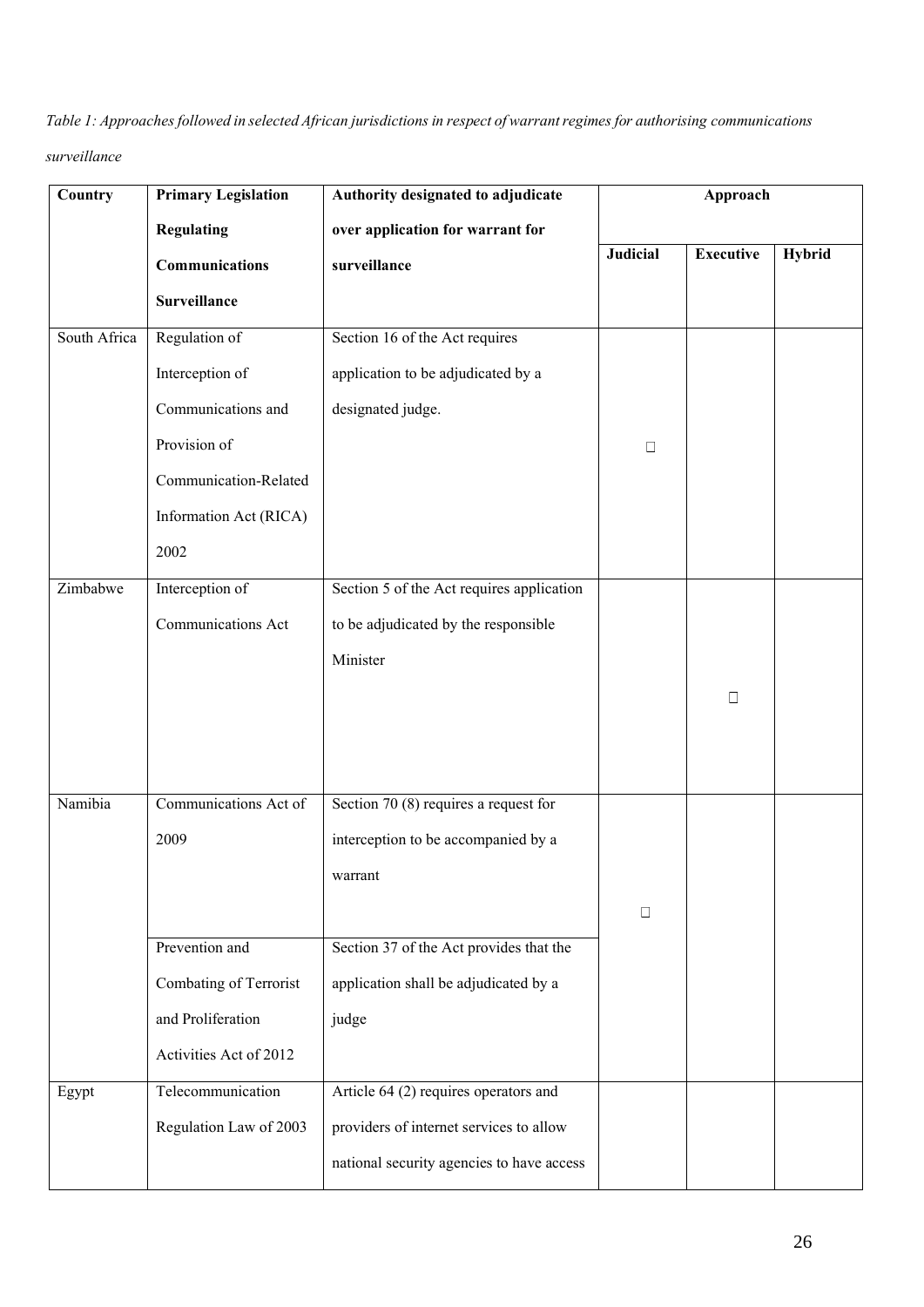*Table 1: Approaches followed in selected African jurisdictions in respect of warrant regimes for authorising communications surveillance*

| Country      | <b>Primary Legislation</b> | Authority designated to adjudicate        |          | Approach         |               |  |  |
|--------------|----------------------------|-------------------------------------------|----------|------------------|---------------|--|--|
|              | <b>Regulating</b>          | over application for warrant for          |          |                  |               |  |  |
|              | Communications             | surveillance                              | Judicial | <b>Executive</b> | <b>Hybrid</b> |  |  |
|              | <b>Surveillance</b>        |                                           |          |                  |               |  |  |
| South Africa | Regulation of              | Section 16 of the Act requires            |          |                  |               |  |  |
|              | Interception of            | application to be adjudicated by a        |          |                  |               |  |  |
|              | Communications and         | designated judge.                         |          |                  |               |  |  |
|              | Provision of               |                                           | $\Box$   |                  |               |  |  |
|              | Communication-Related      |                                           |          |                  |               |  |  |
|              | Information Act (RICA)     |                                           |          |                  |               |  |  |
|              | 2002                       |                                           |          |                  |               |  |  |
| Zimbabwe     | Interception of            | Section 5 of the Act requires application |          |                  |               |  |  |
|              | Communications Act         | to be adjudicated by the responsible      |          |                  |               |  |  |
|              |                            | Minister                                  |          |                  |               |  |  |
|              |                            |                                           |          | $\Box$           |               |  |  |
|              |                            |                                           |          |                  |               |  |  |
|              |                            |                                           |          |                  |               |  |  |
|              |                            |                                           |          |                  |               |  |  |
| Namibia      | Communications Act of      | Section 70 $(8)$ requires a request for   |          |                  |               |  |  |
|              | 2009                       | interception to be accompanied by a       |          |                  |               |  |  |
|              |                            | warrant                                   |          |                  |               |  |  |
|              |                            |                                           | $\Box$   |                  |               |  |  |
|              | Prevention and             | Section 37 of the Act provides that the   |          |                  |               |  |  |
|              | Combating of Terrorist     | application shall be adjudicated by a     |          |                  |               |  |  |
|              | and Proliferation          | judge                                     |          |                  |               |  |  |
|              | Activities Act of 2012     |                                           |          |                  |               |  |  |
| Egypt        | Telecommunication          | Article 64 (2) requires operators and     |          |                  |               |  |  |
|              | Regulation Law of 2003     | providers of internet services to allow   |          |                  |               |  |  |
|              |                            | national security agencies to have access |          |                  |               |  |  |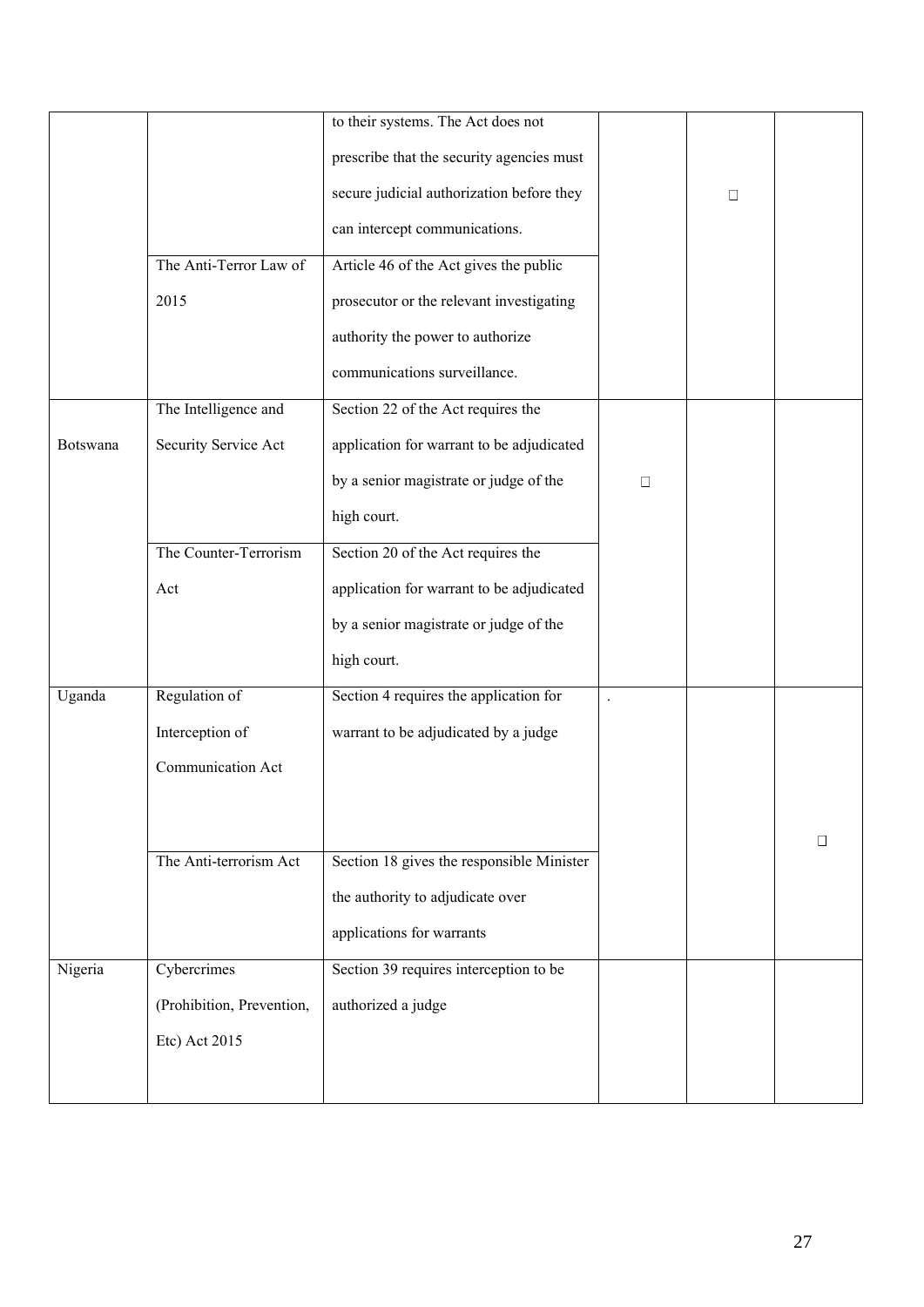|          |                           | to their systems. The Act does not        |         |        |   |
|----------|---------------------------|-------------------------------------------|---------|--------|---|
|          |                           |                                           |         |        |   |
|          |                           | prescribe that the security agencies must |         |        |   |
|          |                           | secure judicial authorization before they |         | $\Box$ |   |
|          |                           | can intercept communications.             |         |        |   |
|          | The Anti-Terror Law of    | Article 46 of the Act gives the public    |         |        |   |
|          | 2015                      | prosecutor or the relevant investigating  |         |        |   |
|          |                           | authority the power to authorize          |         |        |   |
|          |                           | communications surveillance.              |         |        |   |
|          | The Intelligence and      | Section 22 of the Act requires the        |         |        |   |
| Botswana | Security Service Act      | application for warrant to be adjudicated |         |        |   |
|          |                           | by a senior magistrate or judge of the    | $\Box$  |        |   |
|          |                           | high court.                               |         |        |   |
|          | The Counter-Terrorism     | Section 20 of the Act requires the        |         |        |   |
|          | Act                       | application for warrant to be adjudicated |         |        |   |
|          |                           | by a senior magistrate or judge of the    |         |        |   |
|          |                           | high court.                               |         |        |   |
| Uganda   | Regulation of             | Section 4 requires the application for    | $\cdot$ |        |   |
|          | Interception of           | warrant to be adjudicated by a judge      |         |        |   |
|          | Communication Act         |                                           |         |        |   |
|          |                           |                                           |         |        |   |
|          |                           |                                           |         |        | П |
|          | The Anti-terrorism Act    | Section 18 gives the responsible Minister |         |        |   |
|          |                           | the authority to adjudicate over          |         |        |   |
|          |                           | applications for warrants                 |         |        |   |
| Nigeria  | Cybercrimes               | Section 39 requires interception to be    |         |        |   |
|          | (Prohibition, Prevention, | authorized a judge                        |         |        |   |
|          | Etc) Act 2015             |                                           |         |        |   |
|          |                           |                                           |         |        |   |
|          |                           |                                           |         |        |   |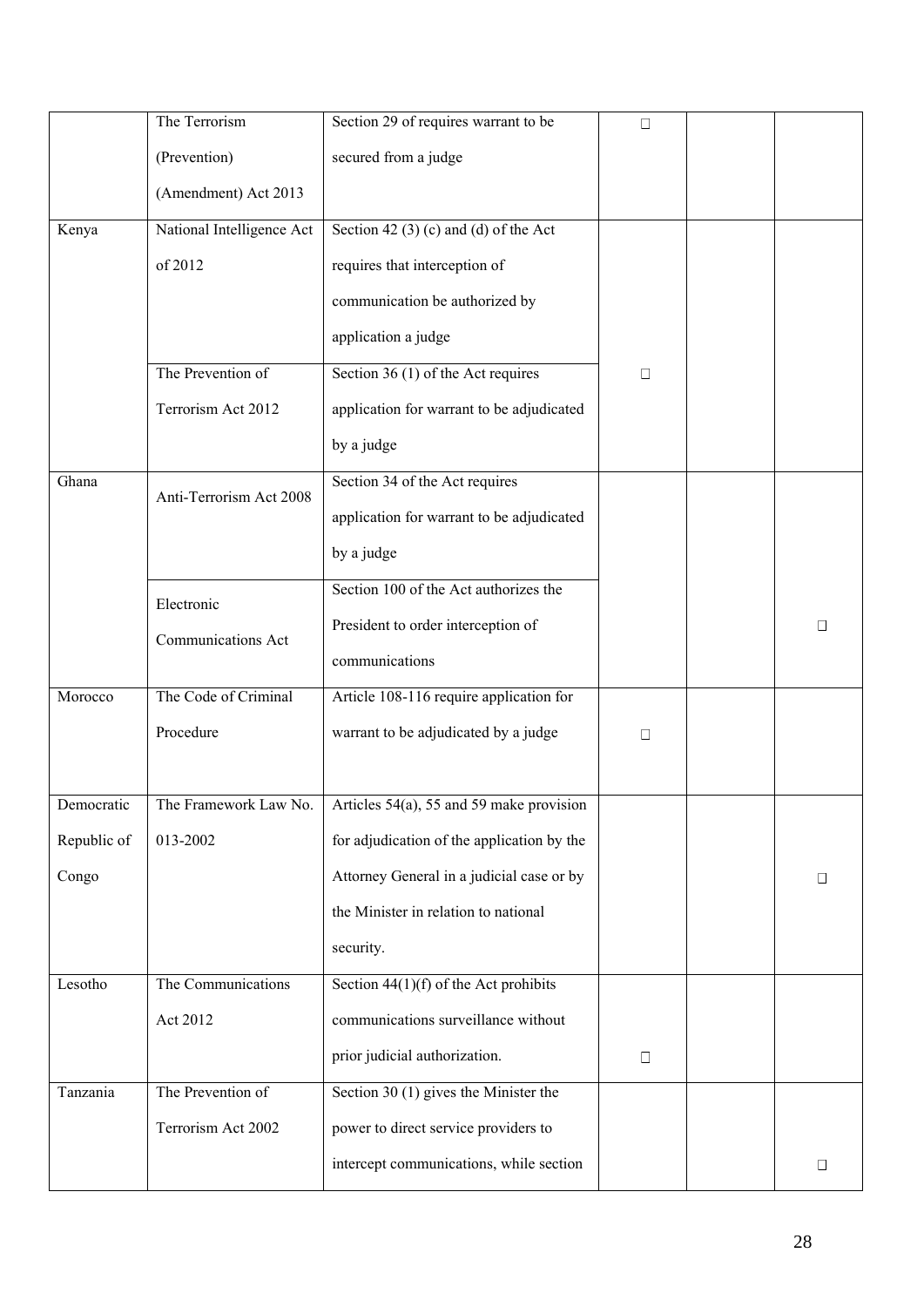|             | The Terrorism             | Section 29 of requires warrant to be                                | $\Box$ |        |
|-------------|---------------------------|---------------------------------------------------------------------|--------|--------|
|             | (Prevention)              | secured from a judge                                                |        |        |
|             | (Amendment) Act 2013      |                                                                     |        |        |
| Kenya       | National Intelligence Act | Section 42 $(3)$ (c) and (d) of the Act                             |        |        |
|             | of 2012                   | requires that interception of                                       |        |        |
|             |                           | communication be authorized by                                      |        |        |
|             |                           | application a judge                                                 |        |        |
|             | The Prevention of         | Section $\overline{36}$ (1) of the Act requires                     | $\Box$ |        |
|             | Terrorism Act 2012        | application for warrant to be adjudicated                           |        |        |
|             |                           | by a judge                                                          |        |        |
| Ghana       | Anti-Terrorism Act 2008   | Section 34 of the Act requires                                      |        |        |
|             |                           | application for warrant to be adjudicated                           |        |        |
|             |                           | by a judge                                                          |        |        |
|             | Electronic                | Section 100 of the Act authorizes the                               |        |        |
|             | Communications Act        | President to order interception of                                  |        | □      |
|             |                           | communications                                                      |        |        |
| Morocco     | The Code of Criminal      | Article 108-116 require application for                             |        |        |
|             | Procedure                 | warrant to be adjudicated by a judge                                | Π      |        |
|             |                           |                                                                     |        |        |
| Democratic  |                           | The Framework Law No.   Articles $54(a)$ , 55 and 59 make provision |        |        |
| Republic of | 013-2002                  | for adjudication of the application by the                          |        |        |
| Congo       |                           | Attorney General in a judicial case or by                           |        | □      |
|             |                           | the Minister in relation to national                                |        |        |
|             |                           | security.                                                           |        |        |
| Lesotho     | The Communications        | Section $44(1)(f)$ of the Act prohibits                             |        |        |
|             | Act 2012                  | communications surveillance without                                 |        |        |
|             |                           | prior judicial authorization.                                       | $\Box$ |        |
| Tanzania    | The Prevention of         | Section 30 (1) gives the Minister the                               |        |        |
|             | Terrorism Act 2002        | power to direct service providers to                                |        |        |
|             |                           | intercept communications, while section                             |        | $\Box$ |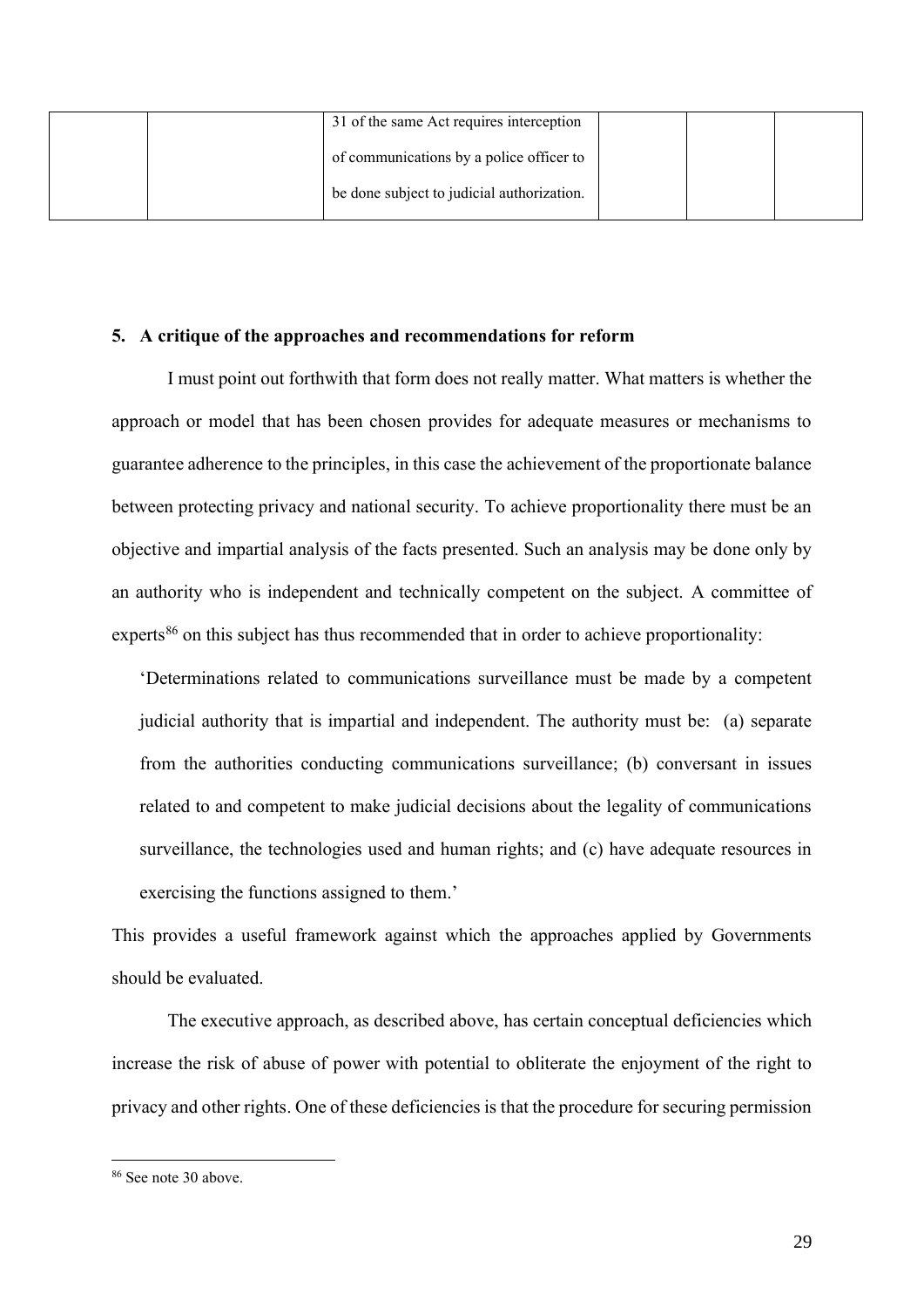| 31 of the same Act requires interception   |  |  |
|--------------------------------------------|--|--|
| of communications by a police officer to   |  |  |
| be done subject to judicial authorization. |  |  |

#### **5. A critique of the approaches and recommendations for reform**

I must point out forthwith that form does not really matter. What matters is whether the approach or model that has been chosen provides for adequate measures or mechanisms to guarantee adherence to the principles, in this case the achievement of the proportionate balance between protecting privacy and national security. To achieve proportionality there must be an objective and impartial analysis of the facts presented. Such an analysis may be done only by an authority who is independent and technically competent on the subject. A committee of experts<sup>86</sup> on this subject has thus recommended that in order to achieve proportionality:

'Determinations related to communications surveillance must be made by a competent judicial authority that is impartial and independent. The authority must be: (a) separate from the authorities conducting communications surveillance; (b) conversant in issues related to and competent to make judicial decisions about the legality of communications surveillance, the technologies used and human rights; and (c) have adequate resources in exercising the functions assigned to them.'

This provides a useful framework against which the approaches applied by Governments should be evaluated.

The executive approach, as described above, has certain conceptual deficiencies which increase the risk of abuse of power with potential to obliterate the enjoyment of the right to privacy and other rights. One of these deficiencies is that the procedure for securing permission

<sup>86</sup> See note 30 above.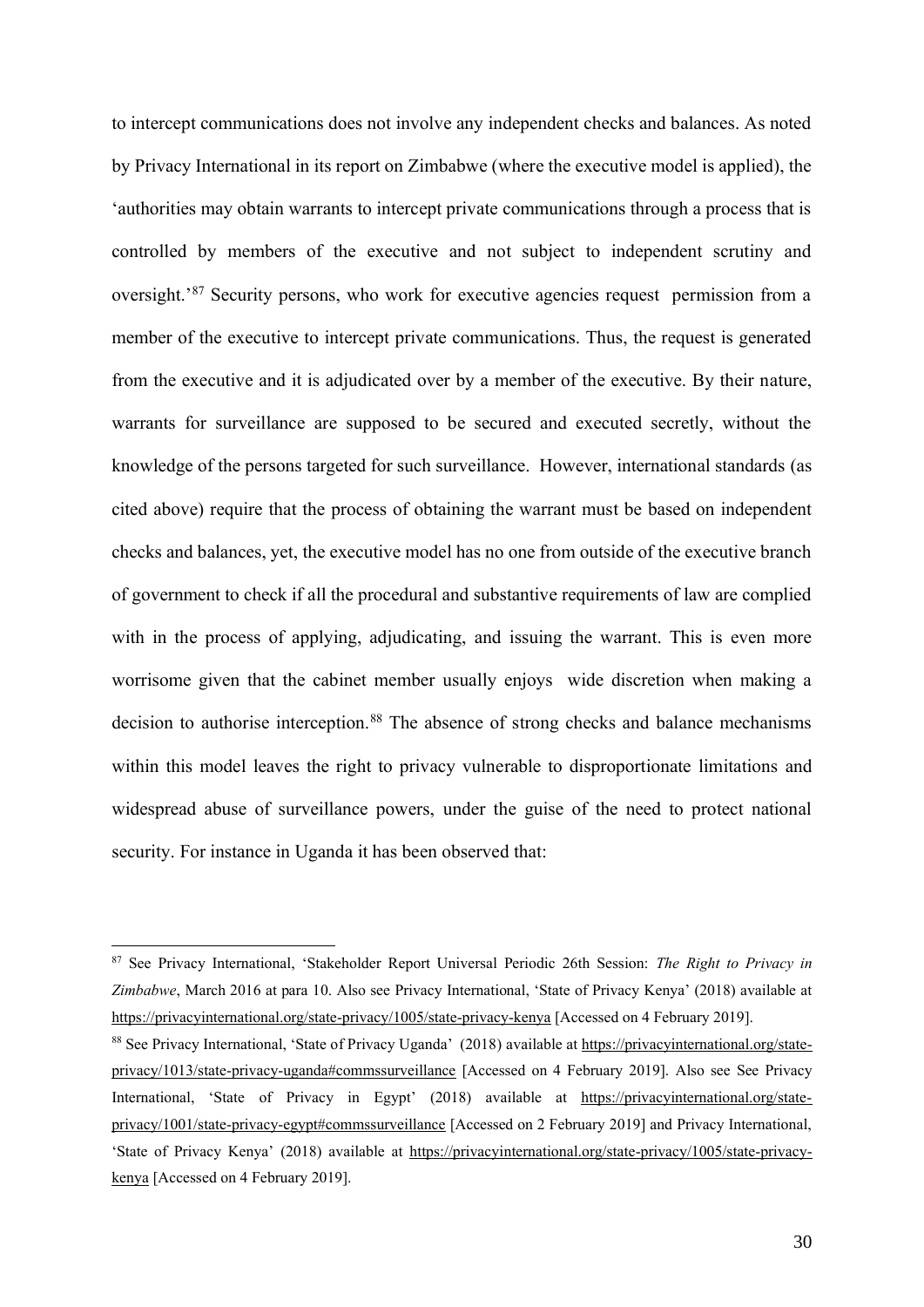to intercept communications does not involve any independent checks and balances. As noted by Privacy International in its report on Zimbabwe (where the executive model is applied), the 'authorities may obtain warrants to intercept private communications through a process that is controlled by members of the executive and not subject to independent scrutiny and oversight.'<sup>87</sup> Security persons, who work for executive agencies request permission from a member of the executive to intercept private communications. Thus, the request is generated from the executive and it is adjudicated over by a member of the executive. By their nature, warrants for surveillance are supposed to be secured and executed secretly, without the knowledge of the persons targeted for such surveillance. However, international standards (as cited above) require that the process of obtaining the warrant must be based on independent checks and balances, yet, the executive model has no one from outside of the executive branch of government to check if all the procedural and substantive requirements of law are complied with in the process of applying, adjudicating, and issuing the warrant. This is even more worrisome given that the cabinet member usually enjoys wide discretion when making a decision to authorise interception.<sup>88</sup> The absence of strong checks and balance mechanisms within this model leaves the right to privacy vulnerable to disproportionate limitations and widespread abuse of surveillance powers, under the guise of the need to protect national security. For instance in Uganda it has been observed that:

<sup>87</sup> See Privacy International, 'Stakeholder Report Universal Periodic 26th Session: *The Right to Privacy in Zimbabwe*, March 2016 at para 10. Also see Privacy International, 'State of Privacy Kenya' (2018) available at <https://privacyinternational.org/state-privacy/1005/state-privacy-kenya> [Accessed on 4 February 2019].

<sup>88</sup> See Privacy International, 'State of Privacy Uganda' (2018) available a[t https://privacyinternational.org/state](https://privacyinternational.org/state-privacy/1013/state-privacy-uganda#commssurveillance)[privacy/1013/state-privacy-uganda#commssurveillance](https://privacyinternational.org/state-privacy/1013/state-privacy-uganda#commssurveillance) [Accessed on 4 February 2019]. Also see See Privacy International, 'State of Privacy in Egypt' (2018) available at [https://privacyinternational.org/state](https://privacyinternational.org/state-privacy/1001/state-privacy-egypt#commssurveillance)[privacy/1001/state-privacy-egypt#commssurveillance](https://privacyinternational.org/state-privacy/1001/state-privacy-egypt#commssurveillance) [Accessed on 2 February 2019] and Privacy International, 'State of Privacy Kenya' (2018) available at [https://privacyinternational.org/state-privacy/1005/state-privacy](https://privacyinternational.org/state-privacy/1005/state-privacy-kenya)[kenya](https://privacyinternational.org/state-privacy/1005/state-privacy-kenya) [Accessed on 4 February 2019].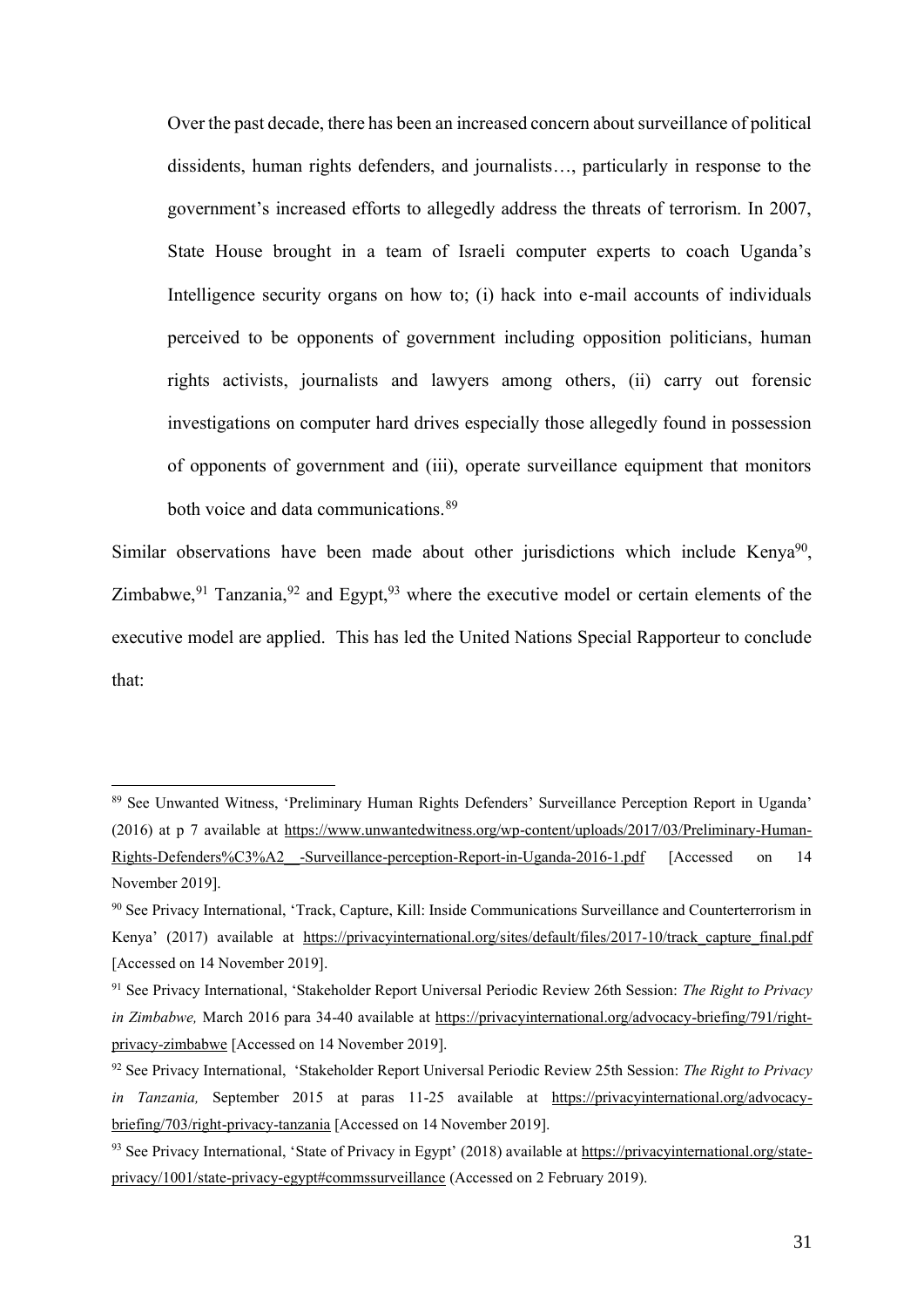Over the past decade, there has been an increased concern about surveillance of political dissidents, human rights defenders, and journalists…, particularly in response to the government's increased efforts to allegedly address the threats of terrorism. In 2007, State House brought in a team of Israeli computer experts to coach Uganda's Intelligence security organs on how to; (i) hack into e-mail accounts of individuals perceived to be opponents of government including opposition politicians, human rights activists, journalists and lawyers among others, (ii) carry out forensic investigations on computer hard drives especially those allegedly found in possession of opponents of government and (iii), operate surveillance equipment that monitors both voice and data communications.<sup>89</sup>

Similar observations have been made about other jurisdictions which include Kenya $90$ , Zimbabwe,  $91$  Tanzania,  $92$  and Egypt,  $93$  where the executive model or certain elements of the executive model are applied. This has led the United Nations Special Rapporteur to conclude that:

<sup>89</sup> See Unwanted Witness, 'Preliminary Human Rights Defenders' Surveillance Perception Report in Uganda' (2016) at p 7 available at [https://www.unwantedwitness.org/wp-content/uploads/2017/03/Preliminary-Human-](https://www.unwantedwitness.org/wp-content/uploads/2017/03/Preliminary-Human-Rights-Defenders%C3%A2__-Surveillance-perception-Report-in-Uganda-2016-1.pdf)Rights-Defenders%C3%A2 -Surveillance-perception-Report-in-Uganda-2016-1.pdf [Accessed on 14 November 2019].

<sup>90</sup> See Privacy International, 'Track, Capture, Kill: Inside Communications Surveillance and Counterterrorism in Kenya' (2017) available at https://privacyinternational.org/sites/default/files/2017-10/track capture final.pdf [Accessed on 14 November 2019].

<sup>91</sup> See Privacy International, 'Stakeholder Report Universal Periodic Review 26th Session: *The Right to Privacy in Zimbabwe,* March 2016 para 34-40 available at [https://privacyinternational.org/advocacy-briefing/791/right](https://privacyinternational.org/advocacy-briefing/791/right-privacy-zimbabwe)[privacy-zimbabwe](https://privacyinternational.org/advocacy-briefing/791/right-privacy-zimbabwe) [Accessed on 14 November 2019].

<sup>92</sup> See Privacy International, 'Stakeholder Report Universal Periodic Review 25th Session: *The Right to Privacy in Tanzania,* September 2015 at paras 11-25 available at [https://privacyinternational.org/advocacy](https://privacyinternational.org/advocacy-briefing/703/right-privacy-tanzania)[briefing/703/right-privacy-tanzania](https://privacyinternational.org/advocacy-briefing/703/right-privacy-tanzania) [Accessed on 14 November 2019].

<sup>93</sup> See Privacy International, 'State of Privacy in Egypt' (2018) available at [https://privacyinternational.org/state](https://privacyinternational.org/state-privacy/1001/state-privacy-egypt#commssurveillance)[privacy/1001/state-privacy-egypt#commssurveillance](https://privacyinternational.org/state-privacy/1001/state-privacy-egypt#commssurveillance) (Accessed on 2 February 2019).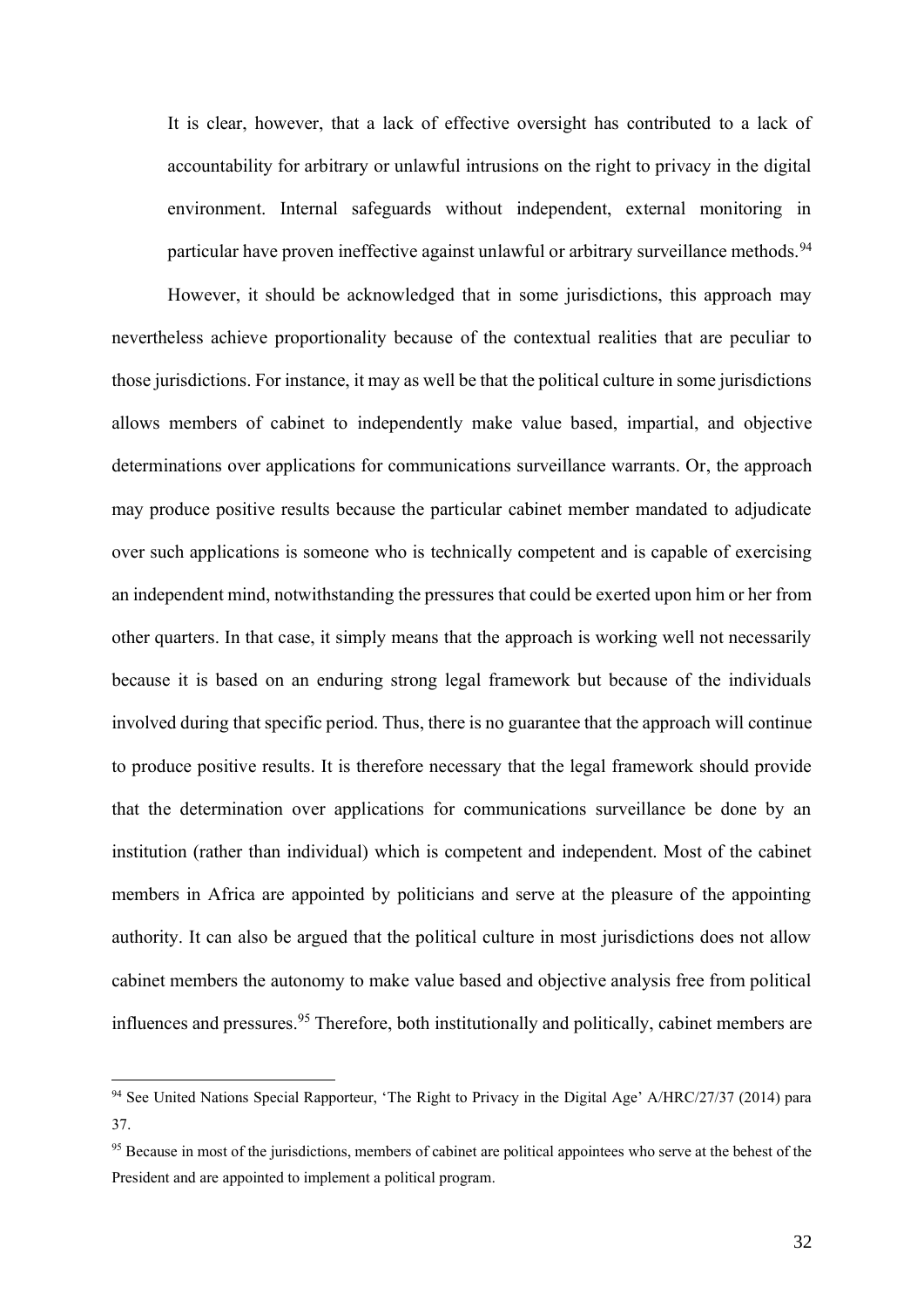It is clear, however, that a lack of effective oversight has contributed to a lack of accountability for arbitrary or unlawful intrusions on the right to privacy in the digital environment. Internal safeguards without independent, external monitoring in particular have proven ineffective against unlawful or arbitrary surveillance methods.<sup>94</sup>

However, it should be acknowledged that in some jurisdictions, this approach may nevertheless achieve proportionality because of the contextual realities that are peculiar to those jurisdictions. For instance, it may as well be that the political culture in some jurisdictions allows members of cabinet to independently make value based, impartial, and objective determinations over applications for communications surveillance warrants. Or, the approach may produce positive results because the particular cabinet member mandated to adjudicate over such applications is someone who is technically competent and is capable of exercising an independent mind, notwithstanding the pressures that could be exerted upon him or her from other quarters. In that case, it simply means that the approach is working well not necessarily because it is based on an enduring strong legal framework but because of the individuals involved during that specific period. Thus, there is no guarantee that the approach will continue to produce positive results. It is therefore necessary that the legal framework should provide that the determination over applications for communications surveillance be done by an institution (rather than individual) which is competent and independent. Most of the cabinet members in Africa are appointed by politicians and serve at the pleasure of the appointing authority. It can also be argued that the political culture in most jurisdictions does not allow cabinet members the autonomy to make value based and objective analysis free from political influences and pressures.<sup>95</sup> Therefore, both institutionally and politically, cabinet members are

<sup>&</sup>lt;sup>94</sup> See United Nations Special Rapporteur, 'The Right to Privacy in the Digital Age' A/HRC/27/37 (2014) para 37.

<sup>&</sup>lt;sup>95</sup> Because in most of the jurisdictions, members of cabinet are political appointees who serve at the behest of the President and are appointed to implement a political program.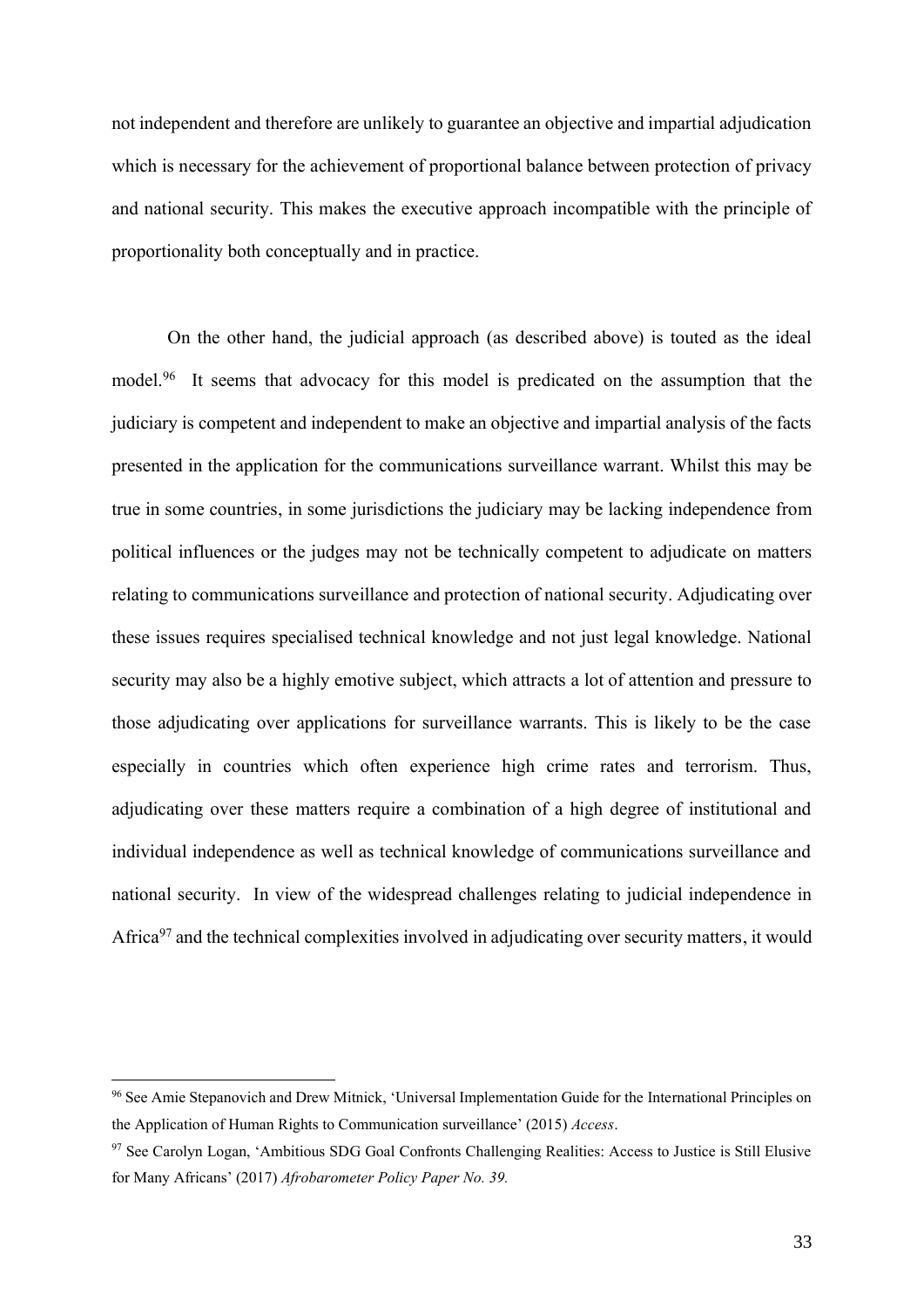not independent and therefore are unlikely to guarantee an objective and impartial adjudication which is necessary for the achievement of proportional balance between protection of privacy and national security. This makes the executive approach incompatible with the principle of proportionality both conceptually and in practice.

On the other hand, the judicial approach (as described above) is touted as the ideal model.<sup>96</sup> It seems that advocacy for this model is predicated on the assumption that the judiciary is competent and independent to make an objective and impartial analysis of the facts presented in the application for the communications surveillance warrant. Whilst this may be true in some countries, in some jurisdictions the judiciary may be lacking independence from political influences or the judges may not be technically competent to adjudicate on matters relating to communications surveillance and protection of national security. Adjudicating over these issues requires specialised technical knowledge and not just legal knowledge. National security may also be a highly emotive subject, which attracts a lot of attention and pressure to those adjudicating over applications for surveillance warrants. This is likely to be the case especially in countries which often experience high crime rates and terrorism. Thus, adjudicating over these matters require a combination of a high degree of institutional and individual independence as well as technical knowledge of communications surveillance and national security. In view of the widespread challenges relating to judicial independence in Africa<sup>97</sup> and the technical complexities involved in adjudicating over security matters, it would

<sup>96</sup> See Amie Stepanovich and Drew Mitnick, 'Universal Implementation Guide for the International Principles on the Application of Human Rights to Communication surveillance' (2015) *Access*.

<sup>97</sup> See Carolyn Logan, 'Ambitious SDG Goal Confronts Challenging Realities: Access to Justice is Still Elusive for Many Africans' (2017) *Afrobarometer Policy Paper No. 39.*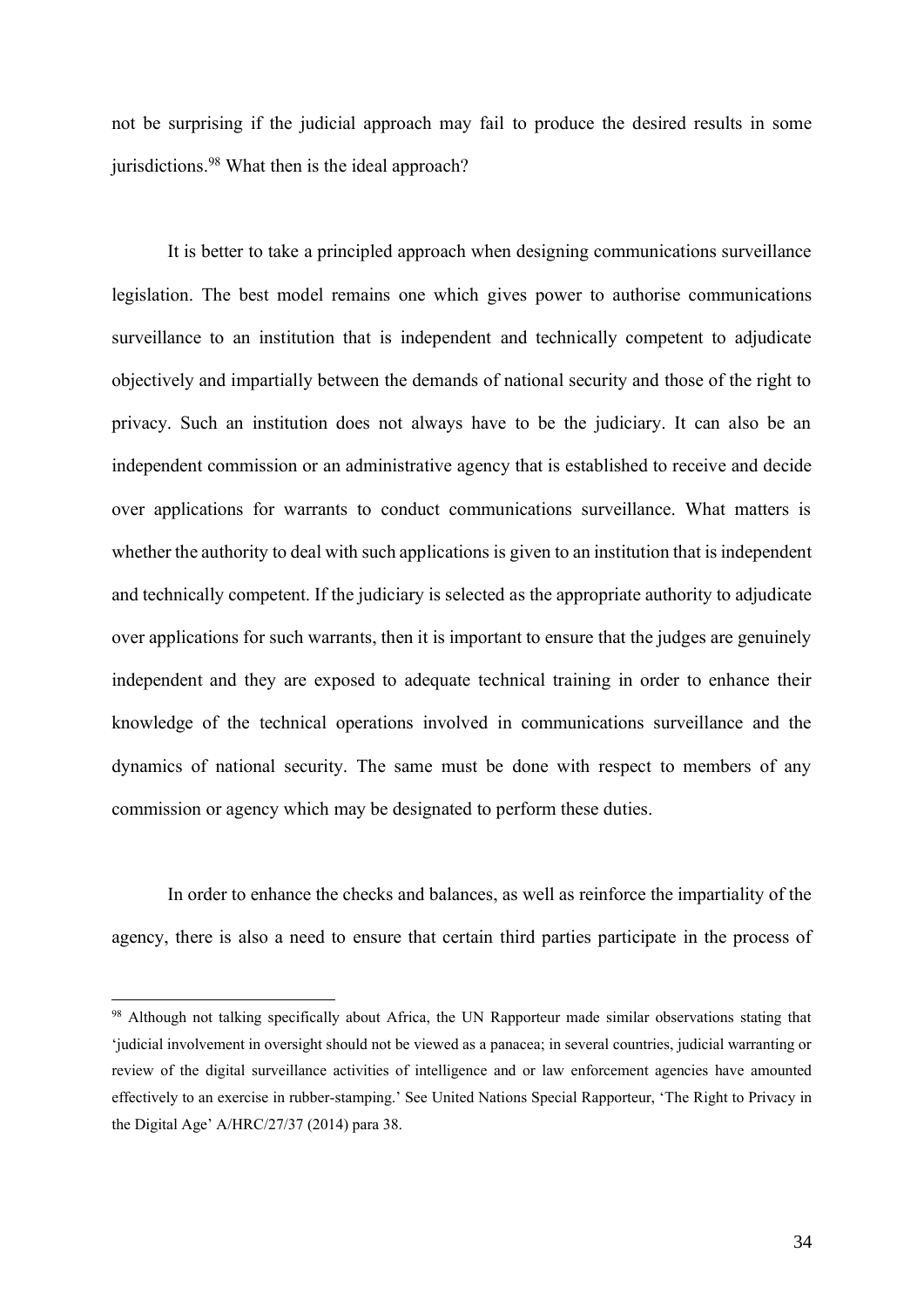not be surprising if the judicial approach may fail to produce the desired results in some jurisdictions.<sup>98</sup> What then is the ideal approach?

It is better to take a principled approach when designing communications surveillance legislation. The best model remains one which gives power to authorise communications surveillance to an institution that is independent and technically competent to adjudicate objectively and impartially between the demands of national security and those of the right to privacy. Such an institution does not always have to be the judiciary. It can also be an independent commission or an administrative agency that is established to receive and decide over applications for warrants to conduct communications surveillance. What matters is whether the authority to deal with such applications is given to an institution that is independent and technically competent. If the judiciary is selected as the appropriate authority to adjudicate over applications for such warrants, then it is important to ensure that the judges are genuinely independent and they are exposed to adequate technical training in order to enhance their knowledge of the technical operations involved in communications surveillance and the dynamics of national security. The same must be done with respect to members of any commission or agency which may be designated to perform these duties.

In order to enhance the checks and balances, as well as reinforce the impartiality of the agency, there is also a need to ensure that certain third parties participate in the process of

<sup>98</sup> Although not talking specifically about Africa, the UN Rapporteur made similar observations stating that 'judicial involvement in oversight should not be viewed as a panacea; in several countries, judicial warranting or review of the digital surveillance activities of intelligence and or law enforcement agencies have amounted effectively to an exercise in rubber-stamping.' See United Nations Special Rapporteur, 'The Right to Privacy in the Digital Age' A/HRC/27/37 (2014) para 38.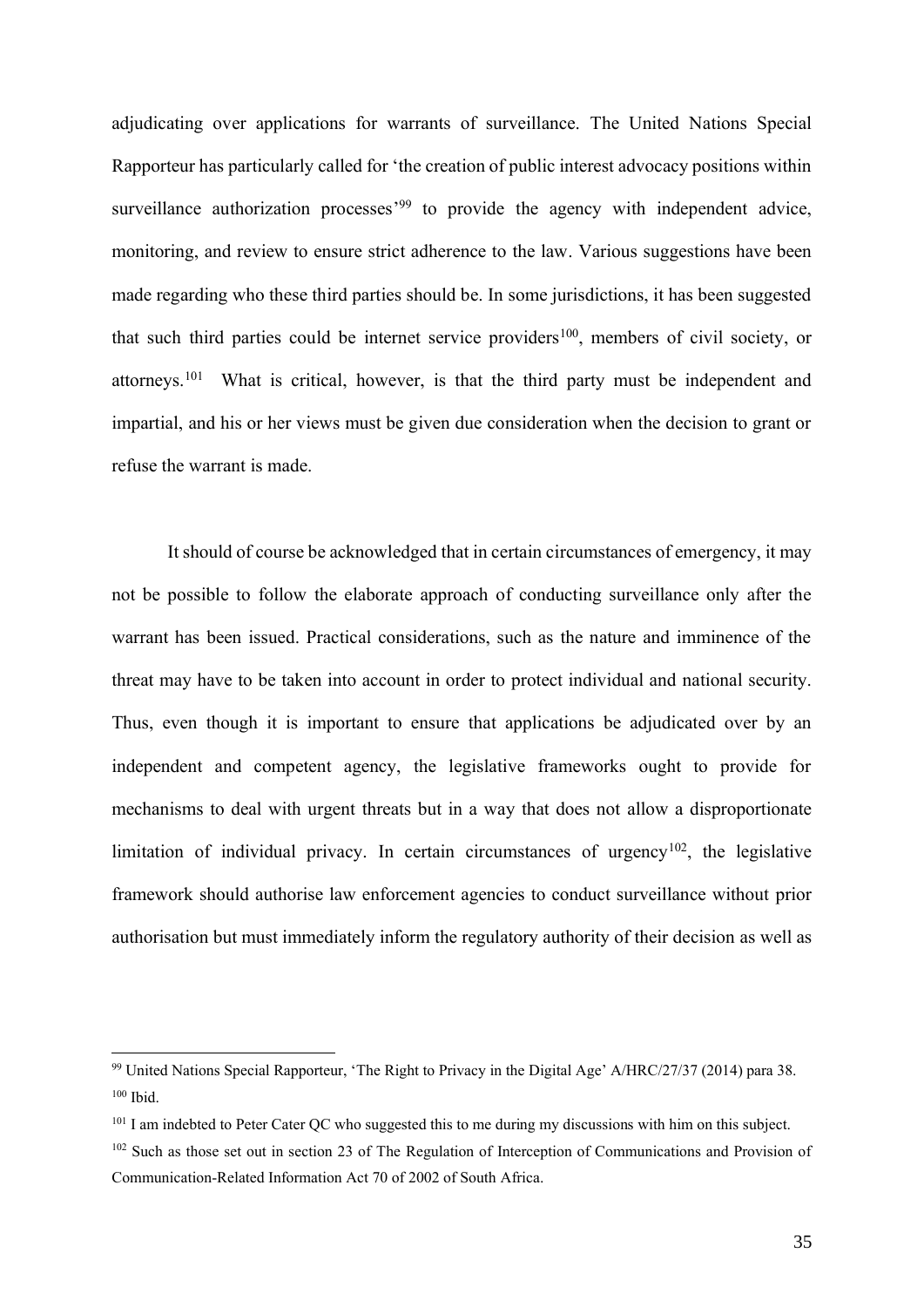adjudicating over applications for warrants of surveillance. The United Nations Special Rapporteur has particularly called for 'the creation of public interest advocacy positions within surveillance authorization processes<sup>, 99</sup> to provide the agency with independent advice, monitoring, and review to ensure strict adherence to the law. Various suggestions have been made regarding who these third parties should be. In some jurisdictions, it has been suggested that such third parties could be internet service providers<sup>100</sup>, members of civil society, or attorneys.<sup>101</sup> What is critical, however, is that the third party must be independent and impartial, and his or her views must be given due consideration when the decision to grant or refuse the warrant is made.

It should of course be acknowledged that in certain circumstances of emergency, it may not be possible to follow the elaborate approach of conducting surveillance only after the warrant has been issued. Practical considerations, such as the nature and imminence of the threat may have to be taken into account in order to protect individual and national security. Thus, even though it is important to ensure that applications be adjudicated over by an independent and competent agency, the legislative frameworks ought to provide for mechanisms to deal with urgent threats but in a way that does not allow a disproportionate limitation of individual privacy. In certain circumstances of urgency<sup>102</sup>, the legislative framework should authorise law enforcement agencies to conduct surveillance without prior authorisation but must immediately inform the regulatory authority of their decision as well as

<sup>&</sup>lt;sup>99</sup> United Nations Special Rapporteur, 'The Right to Privacy in the Digital Age' A/HRC/27/37 (2014) para 38. <sup>100</sup> Ibid.

<sup>&</sup>lt;sup>101</sup> I am indebted to Peter Cater QC who suggested this to me during my discussions with him on this subject.

<sup>&</sup>lt;sup>102</sup> Such as those set out in section 23 of The Regulation of Interception of Communications and Provision of Communication-Related Information Act 70 of 2002 of South Africa.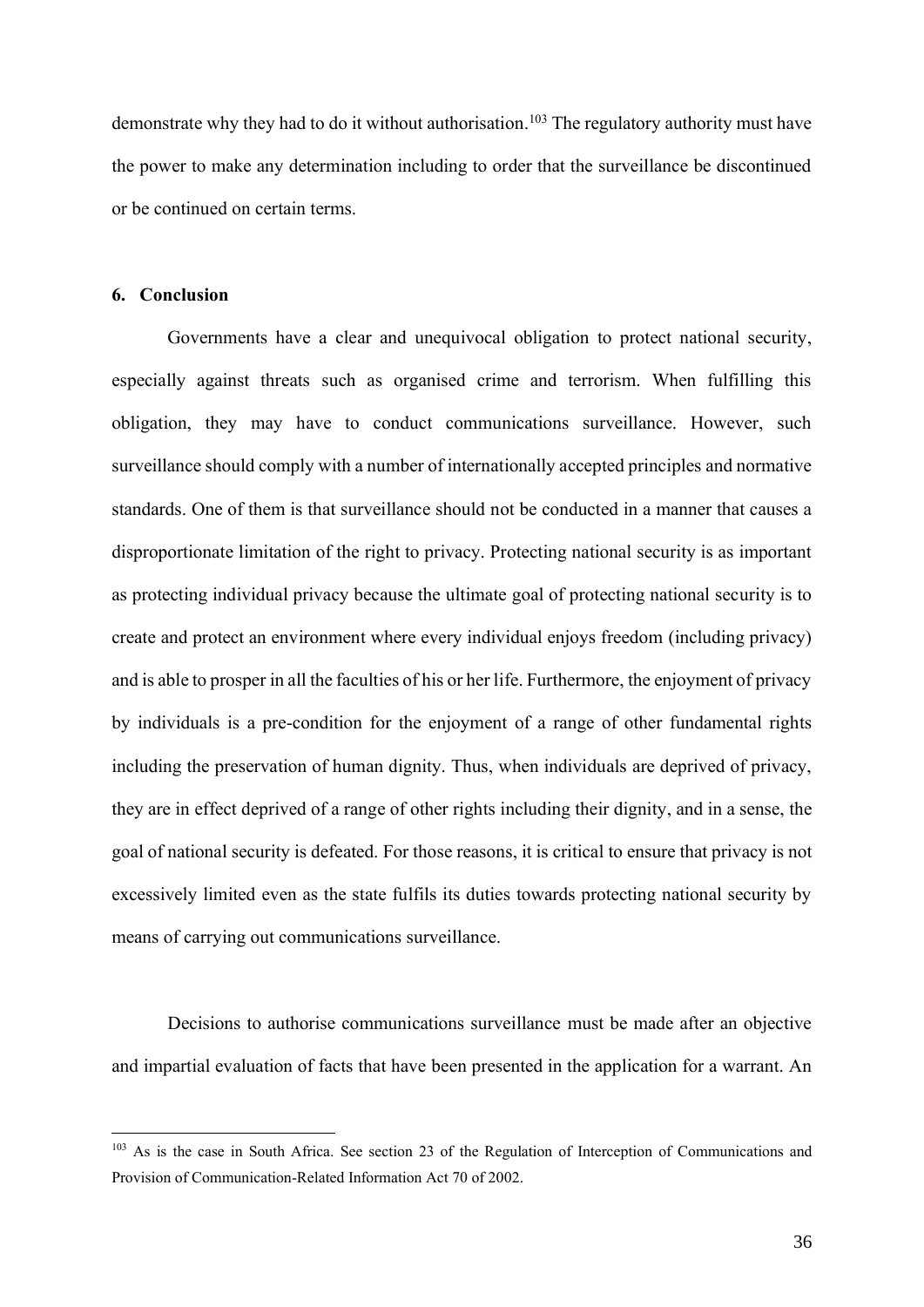demonstrate why they had to do it without authorisation. <sup>103</sup> The regulatory authority must have the power to make any determination including to order that the surveillance be discontinued or be continued on certain terms.

#### **6. Conclusion**

Governments have a clear and unequivocal obligation to protect national security, especially against threats such as organised crime and terrorism. When fulfilling this obligation, they may have to conduct communications surveillance. However, such surveillance should comply with a number of internationally accepted principles and normative standards. One of them is that surveillance should not be conducted in a manner that causes a disproportionate limitation of the right to privacy. Protecting national security is as important as protecting individual privacy because the ultimate goal of protecting national security is to create and protect an environment where every individual enjoys freedom (including privacy) and is able to prosper in all the faculties of his or her life. Furthermore, the enjoyment of privacy by individuals is a pre-condition for the enjoyment of a range of other fundamental rights including the preservation of human dignity. Thus, when individuals are deprived of privacy, they are in effect deprived of a range of other rights including their dignity, and in a sense, the goal of national security is defeated. For those reasons, it is critical to ensure that privacy is not excessively limited even as the state fulfils its duties towards protecting national security by means of carrying out communications surveillance.

Decisions to authorise communications surveillance must be made after an objective and impartial evaluation of facts that have been presented in the application for a warrant. An

<sup>&</sup>lt;sup>103</sup> As is the case in South Africa. See section 23 of the Regulation of Interception of Communications and Provision of Communication-Related Information Act 70 of 2002.